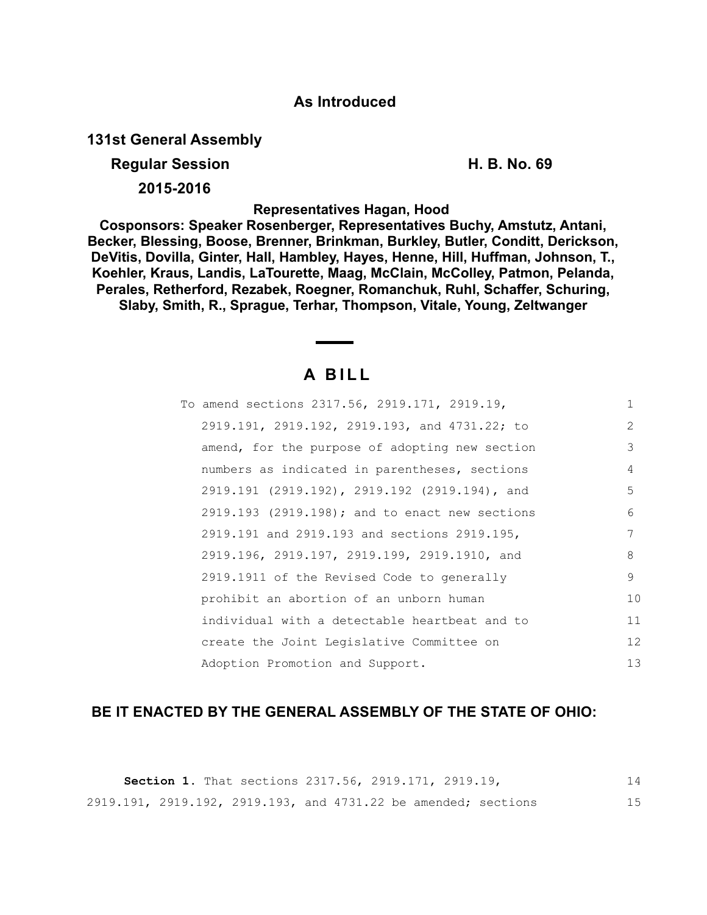## **As Introduced**

**131st General Assembly**

**Regular Session H. B. No. 69** 

**2015-2016**

**Representatives Hagan, Hood** 

**Cosponsors: Speaker Rosenberger, Representatives Buchy, Amstutz, Antani, Becker, Blessing, Boose, Brenner, Brinkman, Burkley, Butler, Conditt, Derickson, DeVitis, Dovilla, Ginter, Hall, Hambley, Hayes, Henne, Hill, Huffman, Johnson, T., Koehler, Kraus, Landis, LaTourette, Maag, McClain, McColley, Patmon, Pelanda, Perales, Retherford, Rezabek, Roegner, Romanchuk, Ruhl, Schaffer, Schuring, Slaby, Smith, R., Sprague, Terhar, Thompson, Vitale, Young, Zeltwanger**

# **A B I L L**

| To amend sections 2317.56, 2919.171, 2919.19,  | $\mathbf{1}$ |
|------------------------------------------------|--------------|
| 2919.191, 2919.192, 2919.193, and 4731.22; to  | 2            |
| amend, for the purpose of adopting new section | 3            |
| numbers as indicated in parentheses, sections  | 4            |
| 2919.191 (2919.192), 2919.192 (2919.194), and  | 5            |
| 2919.193 (2919.198); and to enact new sections | 6            |
| 2919.191 and 2919.193 and sections 2919.195,   | 7            |
| 2919.196, 2919.197, 2919.199, 2919.1910, and   | 8            |
| 2919.1911 of the Revised Code to generally     | 9            |
| prohibit an abortion of an unborn human        | 10           |
| individual with a detectable heartbeat and to  | 11           |
| create the Joint Legislative Committee on      | 12           |
| Adoption Promotion and Support.                | 13           |

### **BE IT ENACTED BY THE GENERAL ASSEMBLY OF THE STATE OF OHIO:**

|  |  | <b>Section 1.</b> That sections 2317.56, 2919.171, 2919.19,    |  |  |  | 14 |
|--|--|----------------------------------------------------------------|--|--|--|----|
|  |  | 2919.191, 2919.192, 2919.193, and 4731.22 be amended; sections |  |  |  | 15 |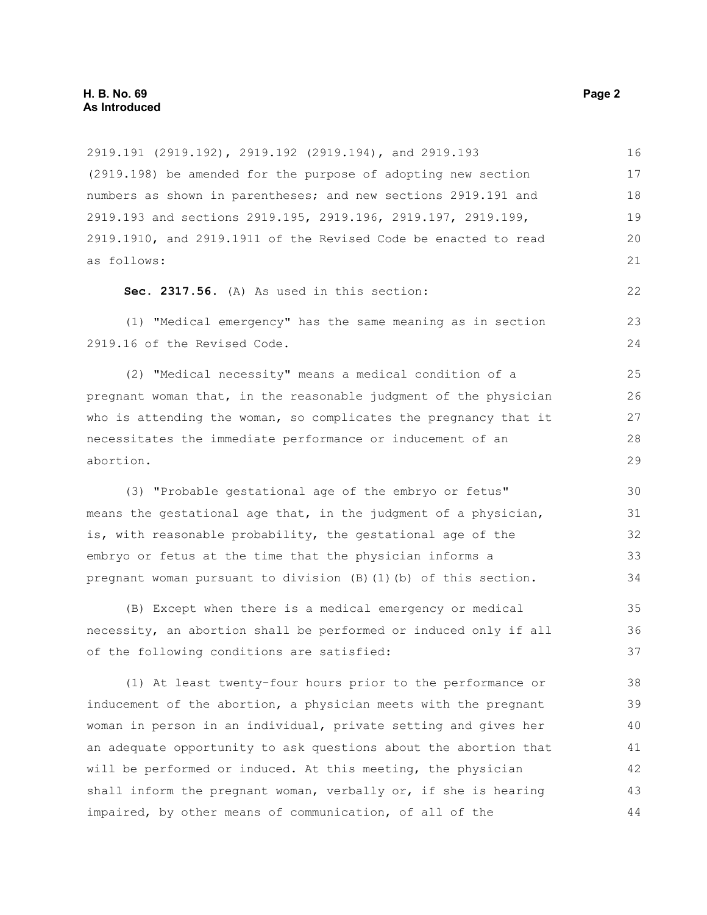| 2919.191 (2919.192), 2919.192 (2919.194), and 2919.193           | 16 |
|------------------------------------------------------------------|----|
| (2919.198) be amended for the purpose of adopting new section    | 17 |
| numbers as shown in parentheses; and new sections 2919.191 and   | 18 |
| 2919.193 and sections 2919.195, 2919.196, 2919.197, 2919.199,    | 19 |
| 2919.1910, and 2919.1911 of the Revised Code be enacted to read  | 20 |
| as follows:                                                      | 21 |
| Sec. 2317.56. (A) As used in this section:                       | 22 |
| (1) "Medical emergency" has the same meaning as in section       | 23 |
| 2919.16 of the Revised Code.                                     | 24 |
| (2) "Medical necessity" means a medical condition of a           | 25 |
| pregnant woman that, in the reasonable judgment of the physician | 26 |
| who is attending the woman, so complicates the pregnancy that it | 27 |
| necessitates the immediate performance or inducement of an       | 28 |
| abortion.                                                        | 29 |
| (3) "Probable gestational age of the embryo or fetus"            | 30 |
| means the gestational age that, in the judgment of a physician,  | 31 |
| is, with reasonable probability, the gestational age of the      | 32 |
| embryo or fetus at the time that the physician informs a         | 33 |
| pregnant woman pursuant to division (B) (1) (b) of this section. | 34 |
| (B) Except when there is a medical emergency or medical          | 35 |
| necessity, an abortion shall be performed or induced only if all | 36 |
| of the following conditions are satisfied:                       | 37 |
| (1) At least twenty-four hours prior to the performance or       | 38 |
| inducement of the abortion, a physician meets with the pregnant  | 39 |
| woman in person in an individual, private setting and gives her  | 40 |
| an adequate opportunity to ask questions about the abortion that | 41 |
| will be performed or induced. At this meeting, the physician     | 42 |
| shall inform the pregnant woman, verbally or, if she is hearing  | 43 |
| impaired, by other means of communication, of all of the         | 44 |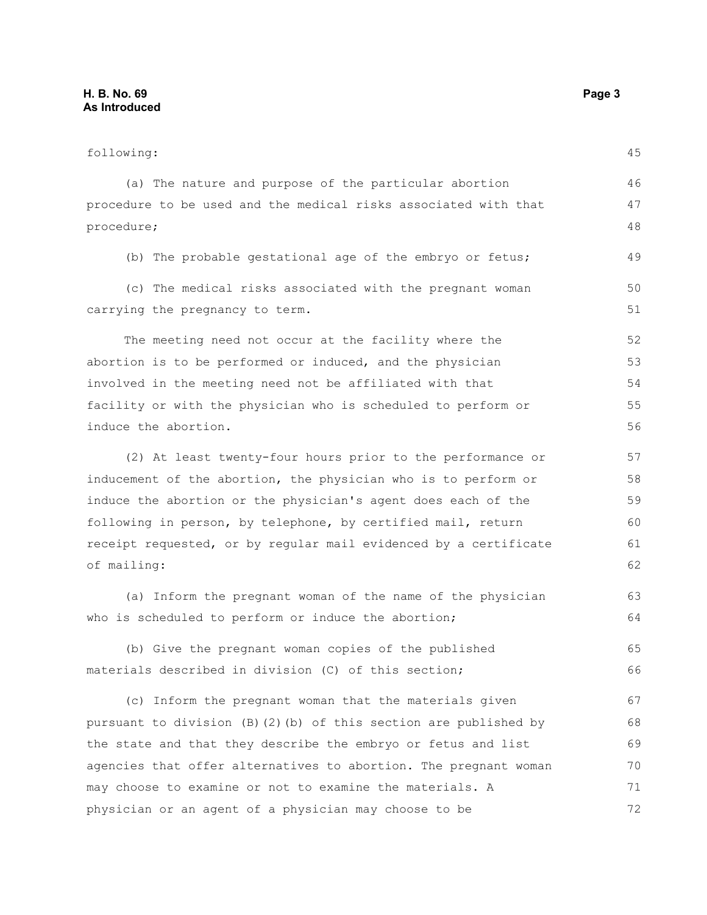| following:                                                       | 45 |
|------------------------------------------------------------------|----|
| (a) The nature and purpose of the particular abortion            | 46 |
| procedure to be used and the medical risks associated with that  | 47 |
| procedure;                                                       | 48 |
| (b) The probable gestational age of the embryo or fetus;         | 49 |
| (c) The medical risks associated with the pregnant woman         | 50 |
| carrying the pregnancy to term.                                  | 51 |
| The meeting need not occur at the facility where the             | 52 |
| abortion is to be performed or induced, and the physician        | 53 |
| involved in the meeting need not be affiliated with that         | 54 |
| facility or with the physician who is scheduled to perform or    | 55 |
| induce the abortion.                                             | 56 |
| (2) At least twenty-four hours prior to the performance or       | 57 |
| inducement of the abortion, the physician who is to perform or   | 58 |
| induce the abortion or the physician's agent does each of the    | 59 |
| following in person, by telephone, by certified mail, return     | 60 |
| receipt requested, or by regular mail evidenced by a certificate | 61 |
| of mailing:                                                      | 62 |
| (a) Inform the pregnant woman of the name of the physician       | 63 |
| who is scheduled to perform or induce the abortion;              | 64 |
| (b) Give the pregnant woman copies of the published              | 65 |
| materials described in division (C) of this section;             | 66 |
| (c) Inform the pregnant woman that the materials given           | 67 |
| pursuant to division (B)(2)(b) of this section are published by  | 68 |
| the state and that they describe the embryo or fetus and list    | 69 |
| agencies that offer alternatives to abortion. The pregnant woman | 70 |
| may choose to examine or not to examine the materials. A         | 71 |

physician or an agent of a physician may choose to be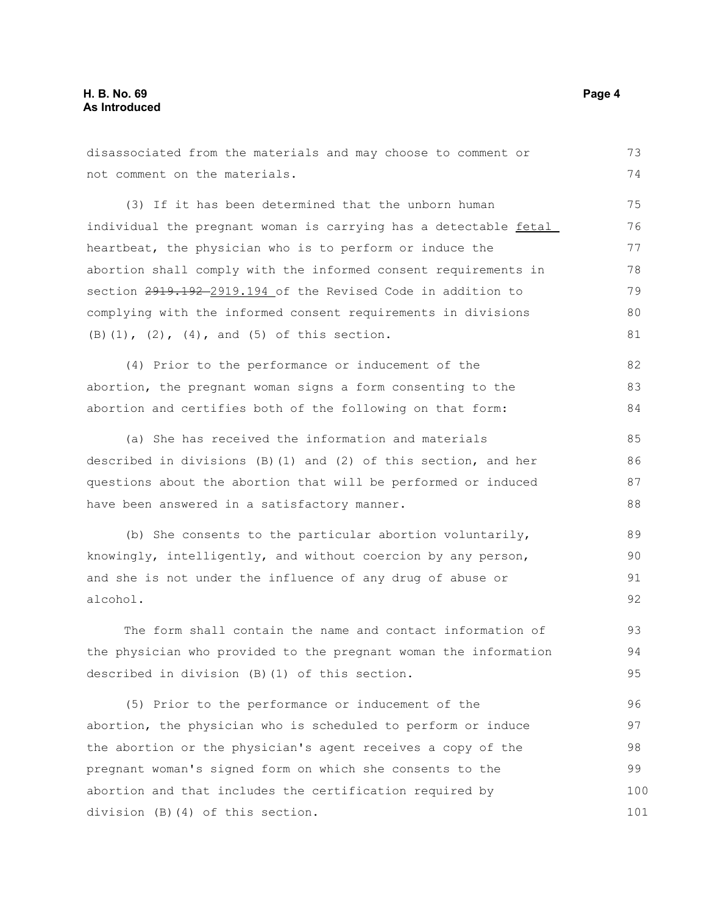division (B)(4) of this section.

not comment on the materials. (3) If it has been determined that the unborn human individual the pregnant woman is carrying has a detectable fetal heartbeat, the physician who is to perform or induce the abortion shall comply with the informed consent requirements in section 2919.192 2919.194 of the Revised Code in addition to complying with the informed consent requirements in divisions (B)(1), (2), (4), and (5) of this section. (4) Prior to the performance or inducement of the abortion, the pregnant woman signs a form consenting to the abortion and certifies both of the following on that form: (a) She has received the information and materials described in divisions (B)(1) and (2) of this section, and her questions about the abortion that will be performed or induced have been answered in a satisfactory manner. (b) She consents to the particular abortion voluntarily, knowingly, intelligently, and without coercion by any person, and she is not under the influence of any drug of abuse or alcohol. The form shall contain the name and contact information of the physician who provided to the pregnant woman the information described in division (B)(1) of this section. (5) Prior to the performance or inducement of the abortion, the physician who is scheduled to perform or induce the abortion or the physician's agent receives a copy of the pregnant woman's signed form on which she consents to the abortion and that includes the certification required by 74 75 76 77 78 79 80 81 82 83 84 85 86 87 88 89  $90$ 91 92 93 94 95 96 97 98 99 100

disassociated from the materials and may choose to comment or

73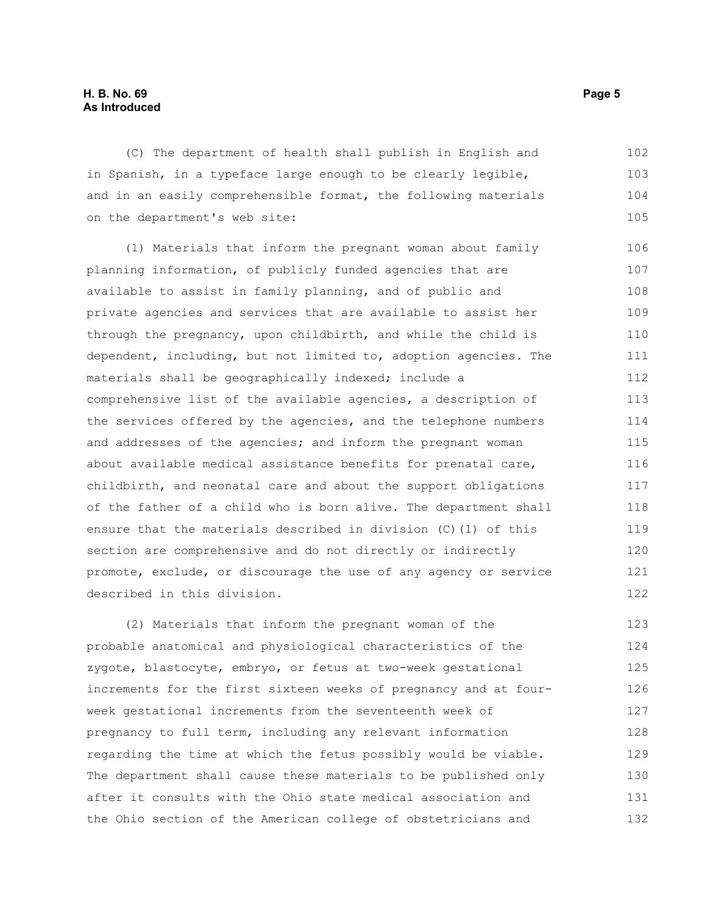(C) The department of health shall publish in English and in Spanish, in a typeface large enough to be clearly legible, and in an easily comprehensible format, the following materials on the department's web site: 102 103 104 105

(1) Materials that inform the pregnant woman about family planning information, of publicly funded agencies that are available to assist in family planning, and of public and private agencies and services that are available to assist her through the pregnancy, upon childbirth, and while the child is dependent, including, but not limited to, adoption agencies. The materials shall be geographically indexed; include a comprehensive list of the available agencies, a description of the services offered by the agencies, and the telephone numbers and addresses of the agencies; and inform the pregnant woman about available medical assistance benefits for prenatal care, childbirth, and neonatal care and about the support obligations of the father of a child who is born alive. The department shall ensure that the materials described in division (C)(1) of this section are comprehensive and do not directly or indirectly promote, exclude, or discourage the use of any agency or service described in this division. 106 107 108 109 110 111 112 113 114 115 116 117 118 119 120 121 122

(2) Materials that inform the pregnant woman of the probable anatomical and physiological characteristics of the zygote, blastocyte, embryo, or fetus at two-week gestational increments for the first sixteen weeks of pregnancy and at fourweek gestational increments from the seventeenth week of pregnancy to full term, including any relevant information regarding the time at which the fetus possibly would be viable. The department shall cause these materials to be published only after it consults with the Ohio state medical association and the Ohio section of the American college of obstetricians and 123 124 125 126 127 128 129 130 131 132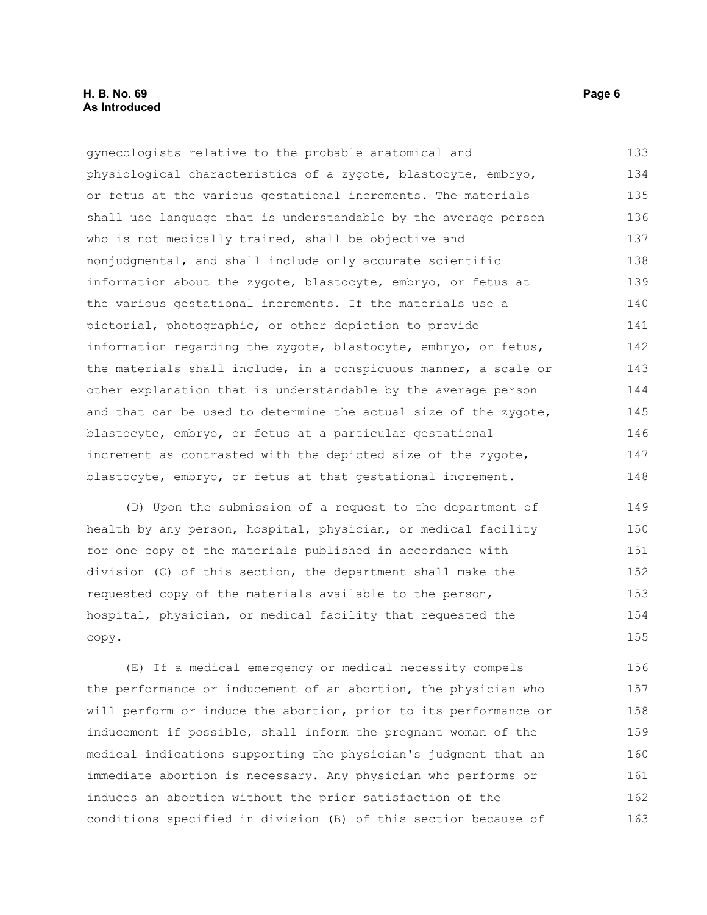gynecologists relative to the probable anatomical and physiological characteristics of a zygote, blastocyte, embryo, or fetus at the various gestational increments. The materials shall use language that is understandable by the average person who is not medically trained, shall be objective and nonjudgmental, and shall include only accurate scientific information about the zygote, blastocyte, embryo, or fetus at the various gestational increments. If the materials use a pictorial, photographic, or other depiction to provide information regarding the zygote, blastocyte, embryo, or fetus, the materials shall include, in a conspicuous manner, a scale or other explanation that is understandable by the average person and that can be used to determine the actual size of the zygote, blastocyte, embryo, or fetus at a particular gestational increment as contrasted with the depicted size of the zygote, blastocyte, embryo, or fetus at that gestational increment. 133 134 135 136 137 138 139 140 141 142 143 144 145 146 147 148

(D) Upon the submission of a request to the department of health by any person, hospital, physician, or medical facility for one copy of the materials published in accordance with division (C) of this section, the department shall make the requested copy of the materials available to the person, hospital, physician, or medical facility that requested the copy. 149 150 151 152 153 154 155

(E) If a medical emergency or medical necessity compels the performance or inducement of an abortion, the physician who will perform or induce the abortion, prior to its performance or inducement if possible, shall inform the pregnant woman of the medical indications supporting the physician's judgment that an immediate abortion is necessary. Any physician who performs or induces an abortion without the prior satisfaction of the conditions specified in division (B) of this section because of 156 157 158 159 160 161 162 163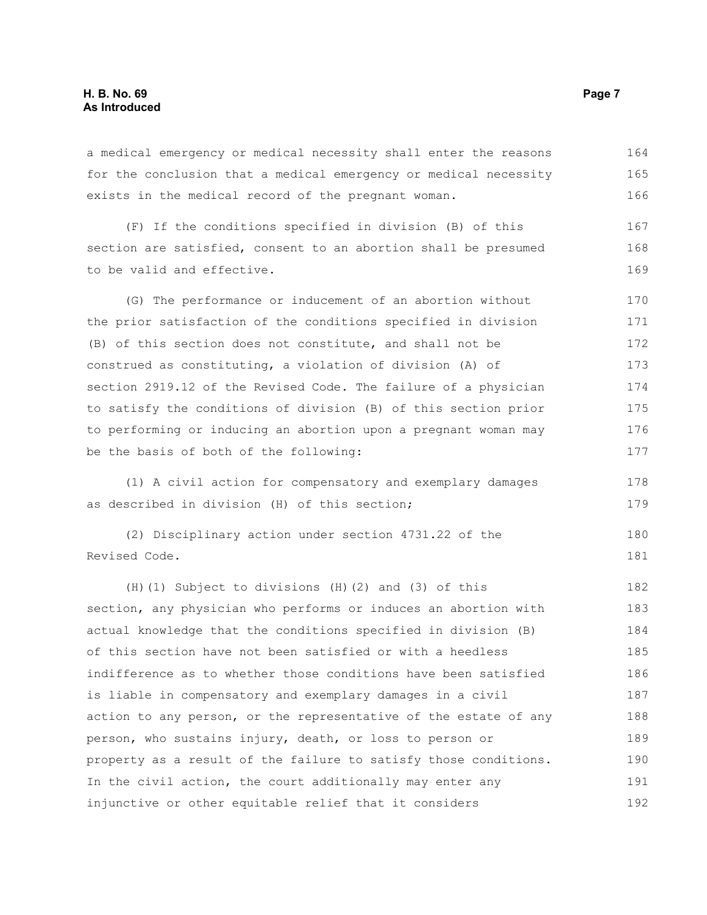a medical emergency or medical necessity shall enter the reasons for the conclusion that a medical emergency or medical necessity exists in the medical record of the pregnant woman. 164 165 166

(F) If the conditions specified in division (B) of this section are satisfied, consent to an abortion shall be presumed to be valid and effective. 167 168 169

(G) The performance or inducement of an abortion without the prior satisfaction of the conditions specified in division (B) of this section does not constitute, and shall not be construed as constituting, a violation of division (A) of section 2919.12 of the Revised Code. The failure of a physician to satisfy the conditions of division (B) of this section prior to performing or inducing an abortion upon a pregnant woman may be the basis of both of the following: 170 171 172 173 174 175 176 177

(1) A civil action for compensatory and exemplary damages as described in division (H) of this section;

(2) Disciplinary action under section 4731.22 of the Revised Code. 180 181

(H)(1) Subject to divisions (H)(2) and (3) of this section, any physician who performs or induces an abortion with actual knowledge that the conditions specified in division (B) of this section have not been satisfied or with a heedless indifference as to whether those conditions have been satisfied is liable in compensatory and exemplary damages in a civil action to any person, or the representative of the estate of any person, who sustains injury, death, or loss to person or property as a result of the failure to satisfy those conditions. In the civil action, the court additionally may enter any injunctive or other equitable relief that it considers 182 183 184 185 186 187 188 189 190 191 192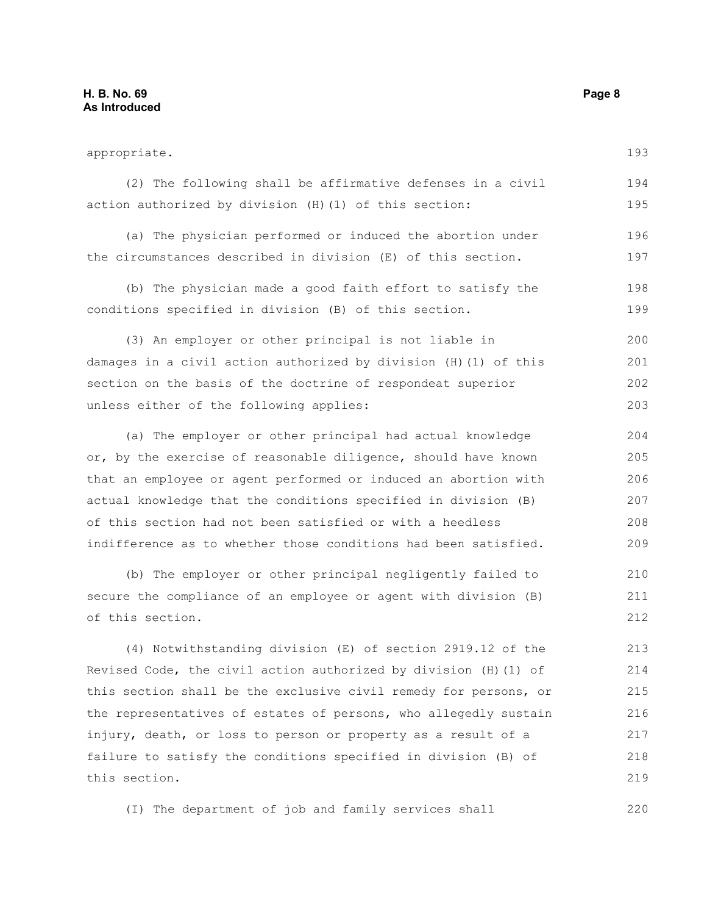appropriate. (2) The following shall be affirmative defenses in a civil action authorized by division (H)(1) of this section: (a) The physician performed or induced the abortion under the circumstances described in division (E) of this section. (b) The physician made a good faith effort to satisfy the conditions specified in division (B) of this section. (3) An employer or other principal is not liable in damages in a civil action authorized by division (H)(1) of this section on the basis of the doctrine of respondeat superior unless either of the following applies: (a) The employer or other principal had actual knowledge or, by the exercise of reasonable diligence, should have known that an employee or agent performed or induced an abortion with actual knowledge that the conditions specified in division (B) of this section had not been satisfied or with a heedless indifference as to whether those conditions had been satisfied. (b) The employer or other principal negligently failed to secure the compliance of an employee or agent with division (B) of this section. (4) Notwithstanding division (E) of section 2919.12 of the Revised Code, the civil action authorized by division (H)(1) of this section shall be the exclusive civil remedy for persons, or the representatives of estates of persons, who allegedly sustain 193 194 195 196 197 198 199 200 201 202 203 204 205 206 207 208 209 211 212 213 214 215 216

injury, death, or loss to person or property as a result of a failure to satisfy the conditions specified in division (B) of this section. 217 218 219

(I) The department of job and family services shall

210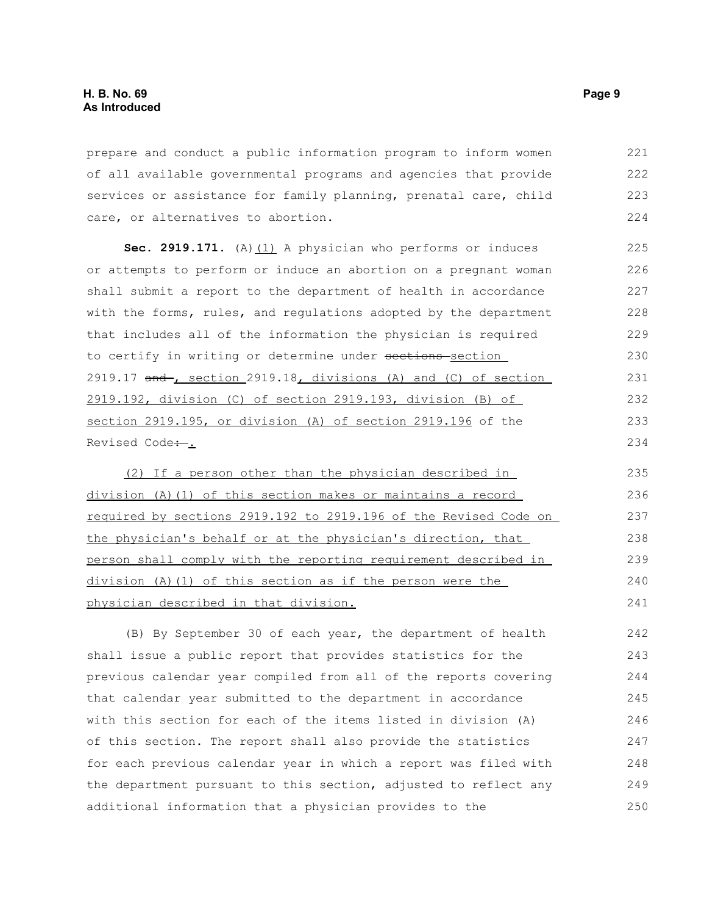prepare and conduct a public information program to inform women of all available governmental programs and agencies that provide services or assistance for family planning, prenatal care, child care, or alternatives to abortion. 221 222 223 224

Sec. 2919.171. (A) (1) A physician who performs or induces or attempts to perform or induce an abortion on a pregnant woman shall submit a report to the department of health in accordance with the forms, rules, and regulations adopted by the department that includes all of the information the physician is required to certify in writing or determine under sections-section 2919.17  $and$ , section 2919.18, divisions (A) and (C) of section 2919.192, division (C) of section 2919.193, division (B) of section 2919.195, or division (A) of section 2919.196 of the Revised Code:.. 225 226 227 228 229 230 231 232 233 234

(2) If a person other than the physician described in division (A) (1) of this section makes or maintains a record required by sections 2919.192 to 2919.196 of the Revised Code on the physician's behalf or at the physician's direction, that person shall comply with the reporting requirement described in division (A)(1) of this section as if the person were the physician described in that division. 235 236 237 238 239 240 241

(B) By September 30 of each year, the department of health shall issue a public report that provides statistics for the previous calendar year compiled from all of the reports covering that calendar year submitted to the department in accordance with this section for each of the items listed in division (A) of this section. The report shall also provide the statistics for each previous calendar year in which a report was filed with the department pursuant to this section, adjusted to reflect any additional information that a physician provides to the 242 243 244 245 246 247 248 249 250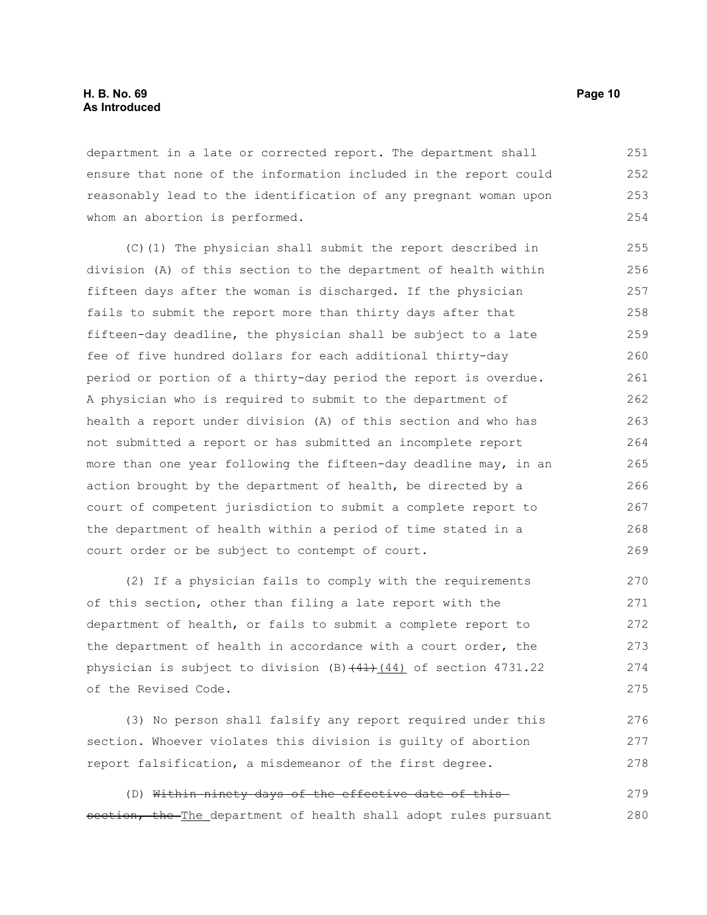department in a late or corrected report. The department shall ensure that none of the information included in the report could reasonably lead to the identification of any pregnant woman upon whom an abortion is performed. 251 252 253 254

(C)(1) The physician shall submit the report described in division (A) of this section to the department of health within fifteen days after the woman is discharged. If the physician fails to submit the report more than thirty days after that fifteen-day deadline, the physician shall be subject to a late fee of five hundred dollars for each additional thirty-day period or portion of a thirty-day period the report is overdue. A physician who is required to submit to the department of health a report under division (A) of this section and who has not submitted a report or has submitted an incomplete report more than one year following the fifteen-day deadline may, in an action brought by the department of health, be directed by a court of competent jurisdiction to submit a complete report to the department of health within a period of time stated in a court order or be subject to contempt of court. 255 256 257 258 259 260 261 262 263 264 265 266 267 268 269

(2) If a physician fails to comply with the requirements of this section, other than filing a late report with the department of health, or fails to submit a complete report to the department of health in accordance with a court order, the physician is subject to division  $(B)$   $(41)$   $(44)$  of section 4731.22 of the Revised Code. 270 271 272 273 274 275

(3) No person shall falsify any report required under this section. Whoever violates this division is guilty of abortion report falsification, a misdemeanor of the first degree. 276 277 278

(D) Within ninety days of the effective date of this section, the The department of health shall adopt rules pursuant 279 280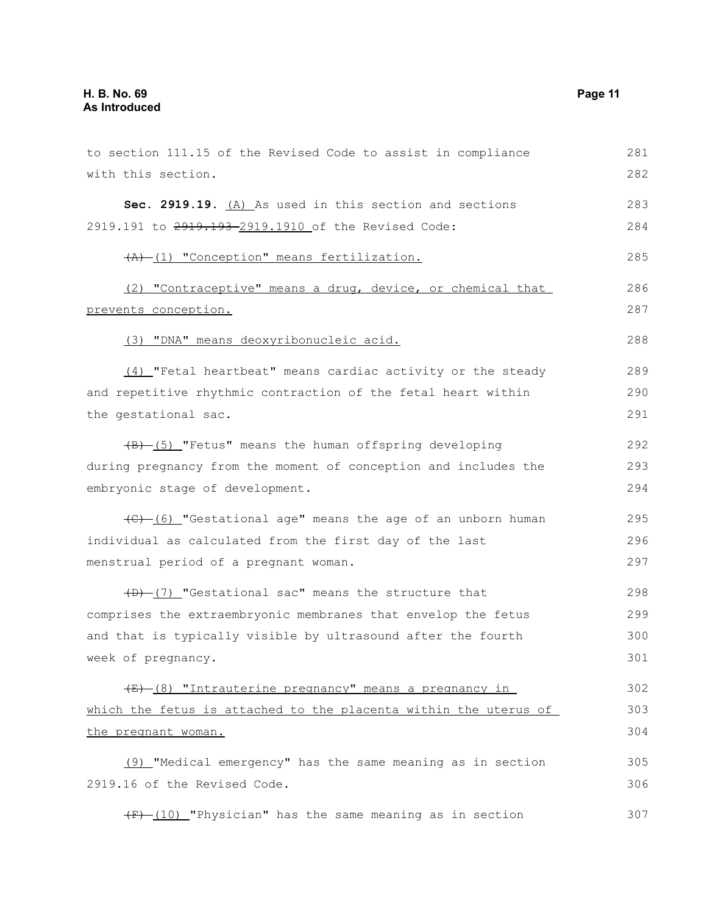| to section 111.15 of the Revised Code to assist in compliance       | 281 |
|---------------------------------------------------------------------|-----|
| with this section.                                                  | 282 |
| Sec. 2919.19. (A) As used in this section and sections              | 283 |
| 2919.191 to 2919.193-2919.1910 of the Revised Code:                 | 284 |
| (A) (1) "Conception" means fertilization.                           | 285 |
| (2) "Contraceptive" means a drug, device, or chemical that          | 286 |
| prevents conception.                                                | 287 |
| (3) "DNA" means deoxyribonucleic acid.                              | 288 |
| (4) "Fetal heartbeat" means cardiac activity or the steady          | 289 |
| and repetitive rhythmic contraction of the fetal heart within       | 290 |
| the gestational sac.                                                | 291 |
| $\overline{(B) - (5)}$ "Fetus" means the human offspring developing | 292 |
| during pregnancy from the moment of conception and includes the     | 293 |
| embryonic stage of development.                                     | 294 |
| (C) [6] "Gestational age" means the age of an unborn human          | 295 |
| individual as calculated from the first day of the last             | 296 |
| menstrual period of a pregnant woman.                               | 297 |
| (D) [7] "Gestational sac" means the structure that                  | 298 |
| comprises the extraembryonic membranes that envelop the fetus       | 299 |
| and that is typically visible by ultrasound after the fourth        | 300 |
| week of pregnancy.                                                  | 301 |
| (E) (8) "Intrauterine pregnancy" means a pregnancy in               | 302 |
| which the fetus is attached to the placenta within the uterus of    | 303 |
| the pregnant woman.                                                 | 304 |
| (9) "Medical emergency" has the same meaning as in section          | 305 |
| 2919.16 of the Revised Code.                                        | 306 |
| $(F)$ (10) "Physician" has the same meaning as in section           | 307 |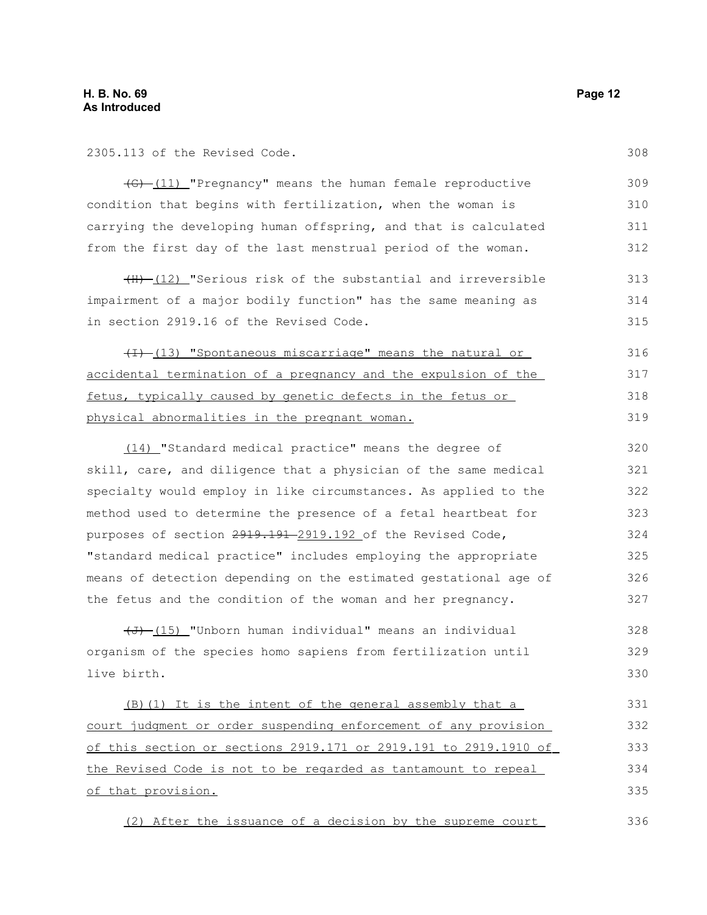2305.113 of the Revised Code.

(G) (11) "Pregnancy" means the human female reproductive condition that begins with fertilization, when the woman is carrying the developing human offspring, and that is calculated from the first day of the last menstrual period of the woman. 309 310 311 312

 $(H)$  (12) "Serious risk of the substantial and irreversible impairment of a major bodily function" has the same meaning as in section 2919.16 of the Revised Code. 313 314 315

 $(H)$  (13) "Spontaneous miscarriage" means the natural or accidental termination of a pregnancy and the expulsion of the fetus, typically caused by genetic defects in the fetus or physical abnormalities in the pregnant woman. 316 317 318 319

 (14) "Standard medical practice" means the degree of skill, care, and diligence that a physician of the same medical specialty would employ in like circumstances. As applied to the method used to determine the presence of a fetal heartbeat for purposes of section 2919.191 2919.192 of the Revised Code, "standard medical practice" includes employing the appropriate means of detection depending on the estimated gestational age of the fetus and the condition of the woman and her pregnancy. 320 321 322 323 324 325 326 327

 $\overline{(d)}$  (15) "Unborn human individual" means an individual organism of the species homo sapiens from fertilization until live birth. 328 329 330

(B)(1) It is the intent of the general assembly that a court judgment or order suspending enforcement of any provision of this section or sections 2919.171 or 2919.191 to 2919.1910 of the Revised Code is not to be regarded as tantamount to repeal of that provision. 331 332 333 334 335

(2) After the issuance of a decision by the supreme court 336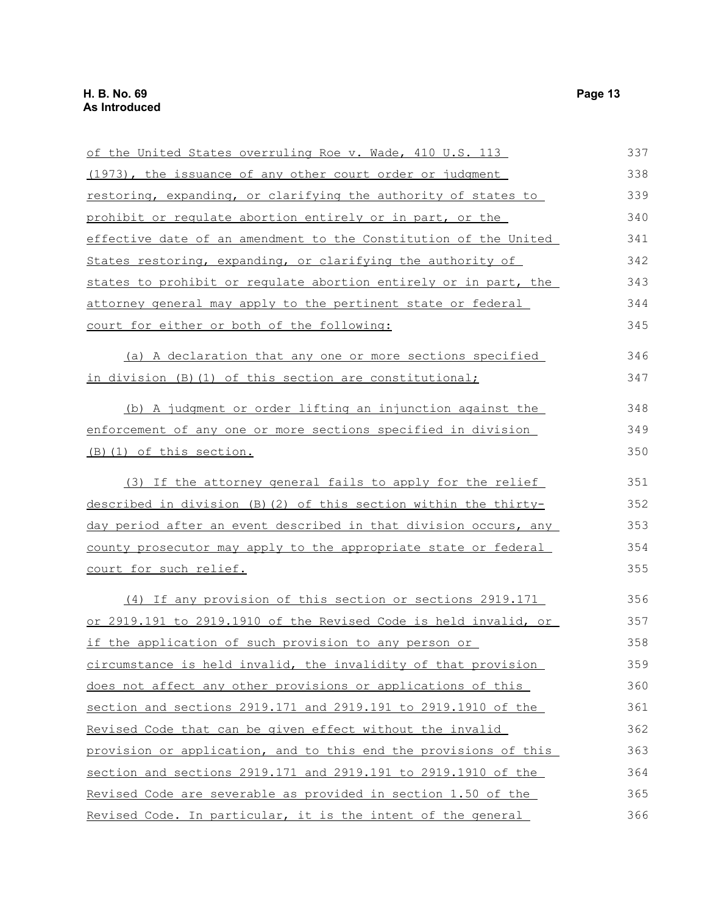| of the United States overruling Roe v. Wade, 410 U.S. 113        | 337 |
|------------------------------------------------------------------|-----|
| (1973), the issuance of any other court order or judgment        | 338 |
| restoring, expanding, or clarifying the authority of states to   | 339 |
| prohibit or requlate abortion entirely or in part, or the        | 340 |
| effective date of an amendment to the Constitution of the United | 341 |
| States restoring, expanding, or clarifying the authority of      | 342 |
| states to prohibit or regulate abortion entirely or in part, the | 343 |
| attorney general may apply to the pertinent state or federal     | 344 |
| court for either or both of the following:                       | 345 |
| (a) A declaration that any one or more sections specified        | 346 |
| in division (B) (1) of this section are constitutional;          | 347 |
| (b) A judgment or order lifting an injunction against the        | 348 |
| enforcement of any one or more sections specified in division    | 349 |
| (B) (1) of this section.                                         | 350 |
| (3) If the attorney general fails to apply for the relief        | 351 |
| described in division (B) (2) of this section within the thirty- | 352 |
| day period after an event described in that division occurs, any | 353 |
| county prosecutor may apply to the appropriate state or federal  | 354 |
| court for such relief.                                           | 355 |
| (4) If any provision of this section or sections 2919.171        | 356 |
| or 2919.191 to 2919.1910 of the Revised Code is held invalid, or | 357 |
| if the application of such provision to any person or            | 358 |
| circumstance is held invalid, the invalidity of that provision   | 359 |
| does not affect any other provisions or applications of this     | 360 |
| section and sections 2919.171 and 2919.191 to 2919.1910 of the   | 361 |
| Revised Code that can be given effect without the invalid        | 362 |
| provision or application, and to this end the provisions of this | 363 |
| section and sections 2919.171 and 2919.191 to 2919.1910 of the   | 364 |
| Revised Code are severable as provided in section 1.50 of the    | 365 |
| Revised Code. In particular, it is the intent of the general     | 366 |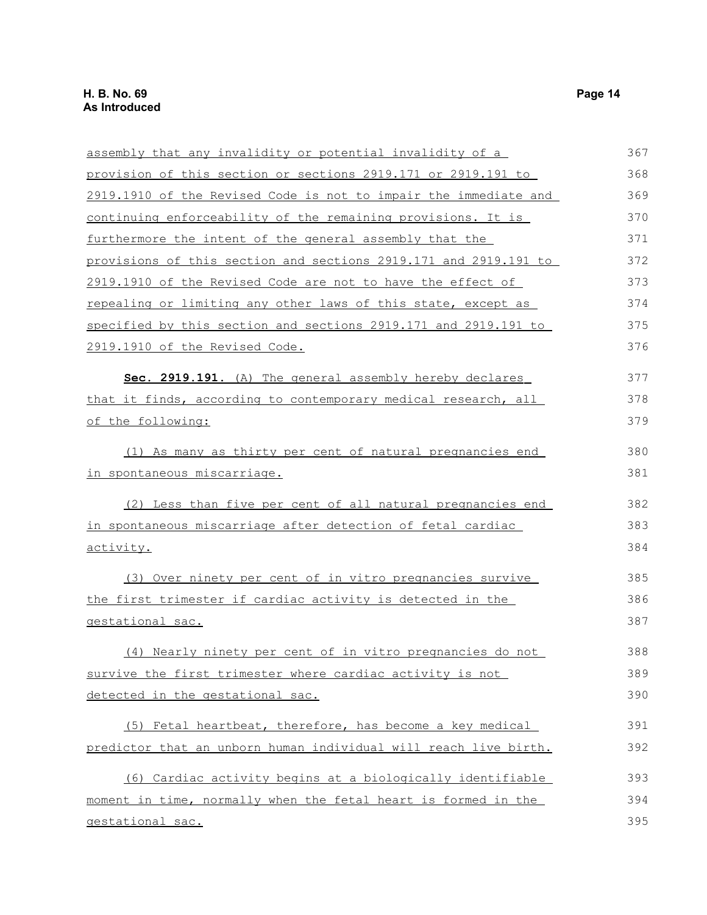assembly that any invalidity or potential invalidity of a provision of this section or sections 2919.171 or 2919.191 to 2919.1910 of the Revised Code is not to impair the immediate and continuing enforceability of the remaining provisions. It is furthermore the intent of the general assembly that the provisions of this section and sections 2919.171 and 2919.191 to 2919.1910 of the Revised Code are not to have the effect of repealing or limiting any other laws of this state, except as specified by this section and sections 2919.171 and 2919.191 to 2919.1910 of the Revised Code. **Sec. 2919.191** . (A) The general assembly hereby declares that it finds, according to contemporary medical research, all of the following: (1) As many as thirty per cent of natural pregnancies end in spontaneous miscarriage. (2) Less than five per cent of all natural pregnancies end in spontaneous miscarriage after detection of fetal cardiac activity. (3) Over ninety per cent of in vitro pregnancies survive the first trimester if cardiac activity is detected in the gestational sac. (4) Nearly ninety per cent of in vitro pregnancies do not survive the first trimester where cardiac activity is not detected in the gestational sac. (5) Fetal heartbeat, therefore, has become a key medical predictor that an unborn human individual will reach live birth. (6) Cardiac activity begins at a biologically identifiable moment in time, normally when the fetal heart is formed in the gestational sac. 367 368 369 370 371 372 373 374 375 376 377 378 379 380 381 382 383 384 385 386 387 388 389 390 391 392 393 394 395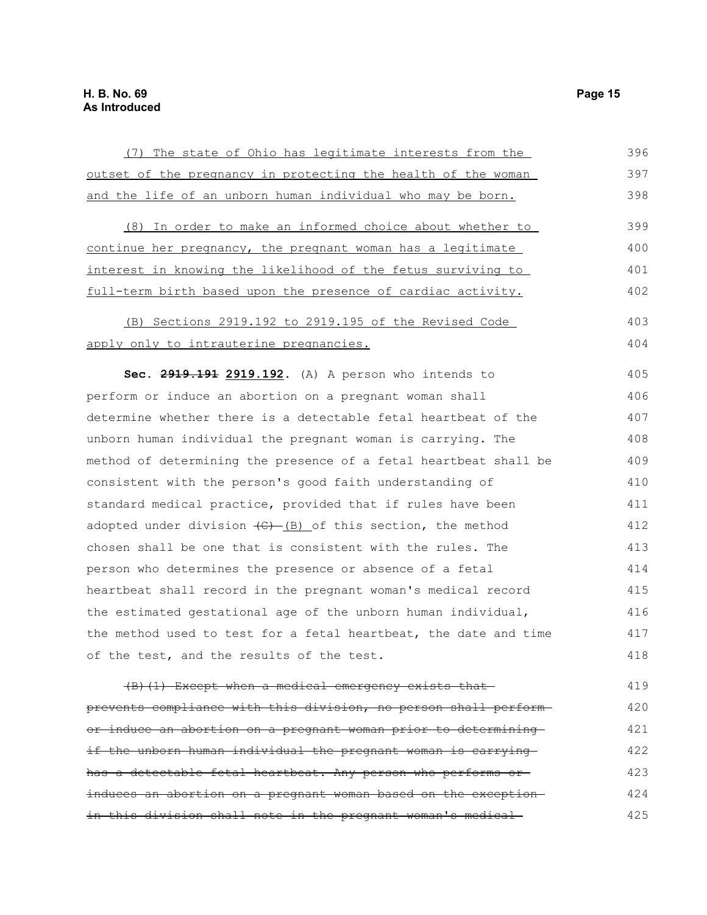| (7) The state of Ohio has legitimate interests from the                           | 396 |
|-----------------------------------------------------------------------------------|-----|
| outset of the pregnancy in protecting the health of the woman                     | 397 |
| and the life of an unborn human individual who may be born.                       | 398 |
| (8) In order to make an informed choice about whether to                          | 399 |
| continue her pregnancy, the pregnant woman has a legitimate                       | 400 |
| <u>interest in knowing the likelihood of the fetus surviving to </u>              | 401 |
| full-term birth based upon the presence of cardiac activity.                      | 402 |
| (B) Sections 2919.192 to 2919.195 of the Revised Code                             | 403 |
| apply only to intrauterine pregnancies.                                           | 404 |
| Sec. 2919.191 2919.192. (A) A person who intends to                               | 405 |
| perform or induce an abortion on a pregnant woman shall                           | 406 |
| determine whether there is a detectable fetal heartbeat of the                    | 407 |
| unborn human individual the pregnant woman is carrying. The                       | 408 |
| method of determining the presence of a fetal heartbeat shall be                  | 409 |
| consistent with the person's good faith understanding of                          | 410 |
| standard medical practice, provided that if rules have been                       | 411 |
| adopted under division $\left(\frac{C}{C}\right)$ (B) of this section, the method | 412 |
| chosen shall be one that is consistent with the rules. The                        | 413 |
| person who determines the presence or absence of a fetal                          | 414 |
| heartbeat shall record in the pregnant woman's medical record                     | 415 |
| the estimated gestational age of the unborn human individual,                     | 416 |
| the method used to test for a fetal heartbeat, the date and time                  | 417 |
| of the test, and the results of the test.                                         | 418 |
| (B) (1) Except when a medical emergency exists that-                              | 419 |
| prevents compliance with this division, no person shall perform-                  | 420 |
| or induce an abortion on a pregnant woman prior to determining                    | 421 |
| if the unborn human individual the pregnant woman is carrying                     | 422 |
| has a detectable fetal heartbeat. Any person who performs or                      | 423 |
| induces an abortion on a pregnant woman based on the exception-                   | 424 |

in this division shall note in the pregnant woman's medical

396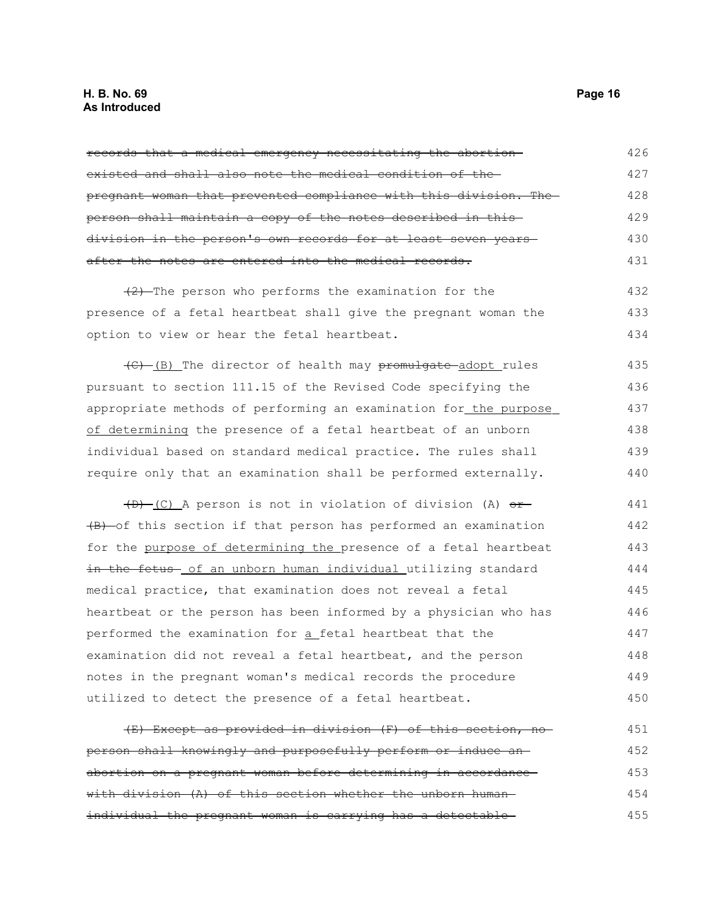#### **H. B. No. 69 Page 16 As Introduced**

records that a medical emergency necessitating the abortion existed and shall also note the medical condition of the pregnant woman that prevented compliance with this division. The person shall maintain a copy of the notes described in this division in the person's own records for at least seven years after the notes are entered into the medical records.  $(2)$ -The person who performs the examination for the presence of a fetal heartbeat shall give the pregnant woman the option to view or hear the fetal heartbeat. (C) (B) The director of health may promulgate adopt rules pursuant to section 111.15 of the Revised Code specifying the appropriate methods of performing an examination for the purpose of determining the presence of a fetal heartbeat of an unborn individual based on standard medical practice. The rules shall require only that an examination shall be performed externally. 426 427 428 429 430 431 432 433 434 435 436 437 438 439 440

 $(D)$  (C) A person is not in violation of division (A)  $or-$ (B) of this section if that person has performed an examination for the purpose of determining the presence of a fetal heartbeat in the fetus of an unborn human individual utilizing standard medical practice, that examination does not reveal a fetal heartbeat or the person has been informed by a physician who has performed the examination for a fetal heartbeat that the examination did not reveal a fetal heartbeat, and the person notes in the pregnant woman's medical records the procedure utilized to detect the presence of a fetal heartbeat. 441 442 443 444 445 446 447 448 449 450

| (E) Except as provided in division (F) of this section, no    | 451 |
|---------------------------------------------------------------|-----|
| person shall knowingly and purposefully perform or induce an- | 452 |
| abortion on a pregnant woman before determining in accordance | 453 |
| with division (A) of this section whether the unborn human-   | 454 |
| individual the pregnant woman is carrying has a detectable    | 455 |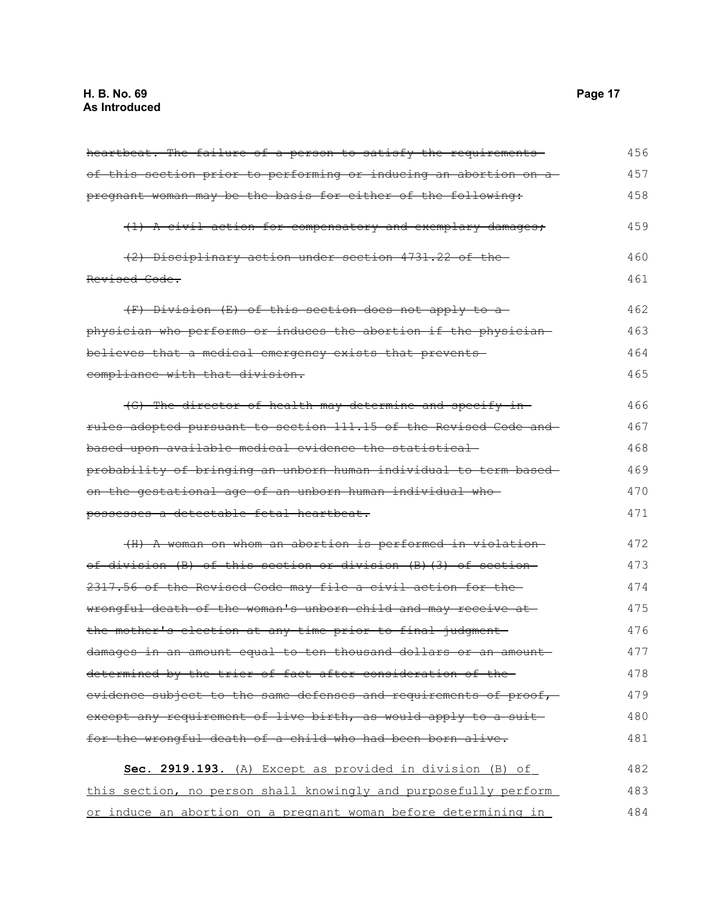| heartbeat. The failure of a person to satisfy the requirements   | 456 |
|------------------------------------------------------------------|-----|
| of this section prior to performing or inducing an abortion on a | 457 |
| pregnant woman may be the basis for either of the following:     | 458 |
| (1) A civil action for compensatory and exemplary damages;       | 459 |
| (2) Disciplinary action under section 4731.22 of the             | 460 |
| Revised Code.                                                    | 461 |
| (F) Division (E) of this section does not apply to a             | 462 |
| physician who performs or induces the abortion if the physician  | 463 |
| believes that a medical emergency exists that prevents-          | 464 |
| compliance with that division.                                   | 465 |
| (G) The director of health may determine and specify in-         | 466 |
| rules adopted pursuant to section 111.15 of the Revised Code and | 467 |
| based upon available medical evidence the statistical-           | 468 |
| probability of bringing an unborn human individual to term based | 469 |
| on the gestational age of an unborn human individual who-        | 470 |
| possesses a detectable fetal heartbeat.                          | 471 |
| (II) A woman on whom an abortion is performed in violation       | 472 |
| of division (B) of this section or division (B)(3) of section-   | 473 |
| 2317.56 of the Revised Code may file a civil action for the      | 474 |
| wrongful death of the woman's unborn child and may receive at    | 475 |
| the mother's election at any time prior to final judgment-       | 476 |
| damages in an amount equal to ten thousand dollars or an amount- | 477 |
| determined by the trier of fact after consideration of the-      | 478 |
| evidence subject to the same defenses and requirements of proof, | 479 |
| except any requirement of live birth, as would apply to a suit-  | 480 |
| for the wrongful death of a child who had been born alive.       | 481 |
| Sec. 2919.193. (A) Except as provided in division (B) of         | 482 |
| this section, no person shall knowingly and purposefully perform | 483 |
| or induce an abortion on a pregnant woman before determining in  | 484 |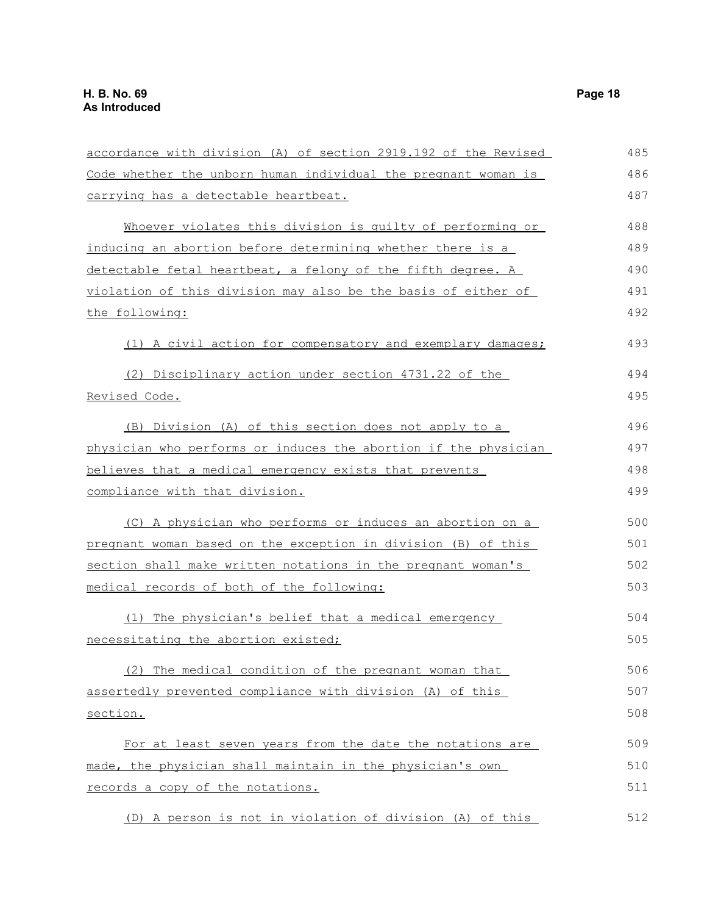accordance with division (A) of section 2919.192 of the Revised Code whether the unborn human individual the pregnant woman is carrying has a detectable heartbeat. Whoever violates this division is guilty of performing or inducing an abortion before determining whether there is a detectable fetal heartbeat, a felony of the fifth degree. A violation of this division may also be the basis of either of the following: (1) A civil action for compensatory and exemplary damages; (2) Disciplinary action under section 4731.22 of the Revised Code. (B) Division (A) of this section does not apply to a physician who performs or induces the abortion if the physician believes that a medical emergency exists that prevents compliance with that division. (C) A physician who performs or induces an abortion on a pregnant woman based on the exception in division (B) of this section shall make written notations in the pregnant woman's medical records of both of the following: (1) The physician's belief that a medical emergency necessitating the abortion existed; (2) The medical condition of the pregnant woman that assertedly prevented compliance with division (A) of this section. For at least seven years from the date the notations are made, the physician shall maintain in the physician's own records a copy of the notations. 485 486 487 488 489 490 491 492 493 494 495 496 497 498 499 500 501 502 503 504 505 506 507 508 509 510 511

(D) A person is not in violation of division (A) of this 512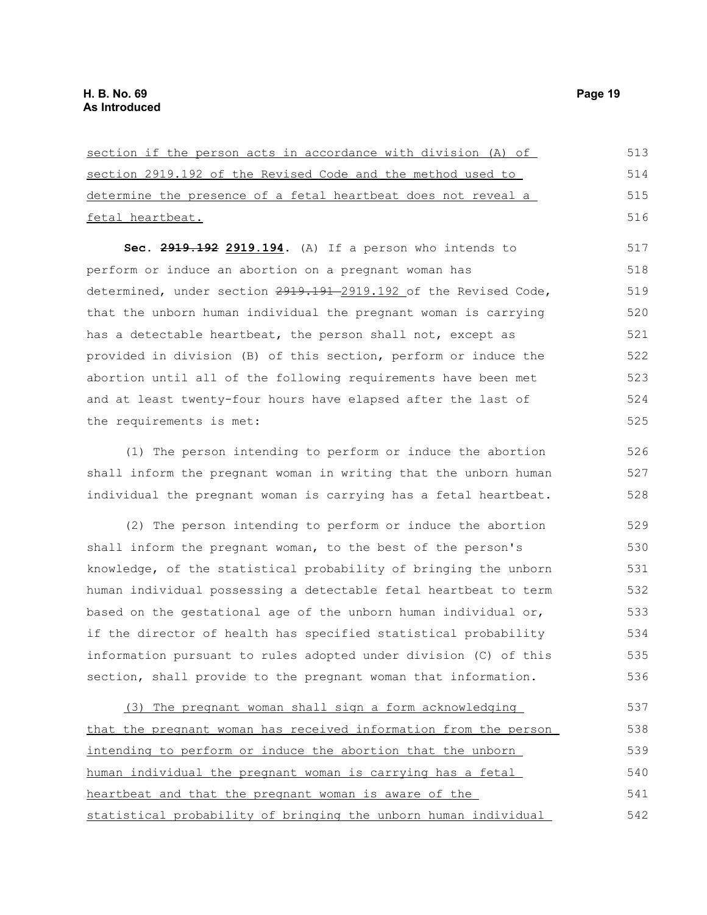| section if the person acts in accordance with division (A) of    | 513 |
|------------------------------------------------------------------|-----|
| section 2919.192 of the Revised Code and the method used to      | 514 |
| determine the presence of a fetal heartbeat does not reveal a    | 515 |
| fetal heartbeat.                                                 | 516 |
| Sec. 2919.192 2919.194. (A) If a person who intends to           | 517 |
| perform or induce an abortion on a pregnant woman has            | 518 |
| determined, under section 2919.191-2919.192 of the Revised Code, | 519 |
| that the unborn human individual the pregnant woman is carrying  | 520 |
| has a detectable heartbeat, the person shall not, except as      | 521 |
| provided in division (B) of this section, perform or induce the  | 522 |
| abortion until all of the following requirements have been met   | 523 |
| and at least twenty-four hours have elapsed after the last of    | 524 |
| the requirements is met:                                         | 525 |
| (1) The person intending to perform or induce the abortion       | 526 |
| shall inform the pregnant woman in writing that the unborn human | 527 |

(2) The person intending to perform or induce the abortion shall inform the pregnant woman, to the best of the person's knowledge, of the statistical probability of bringing the unborn human individual possessing a detectable fetal heartbeat to term based on the gestational age of the unborn human individual or, if the director of health has specified statistical probability information pursuant to rules adopted under division (C) of this section, shall provide to the pregnant woman that information. 529 530 531 532 533 534 535 536

individual the pregnant woman is carrying has a fetal heartbeat.

(3) The pregnant woman shall sign a form acknowledging that the pregnant woman has received information from the person intending to perform or induce the abortion that the unborn human individual the pregnant woman is carrying has a fetal heartbeat and that the pregnant woman is aware of the statistical probability of bringing the unborn human individual 537 538 539 540 541 542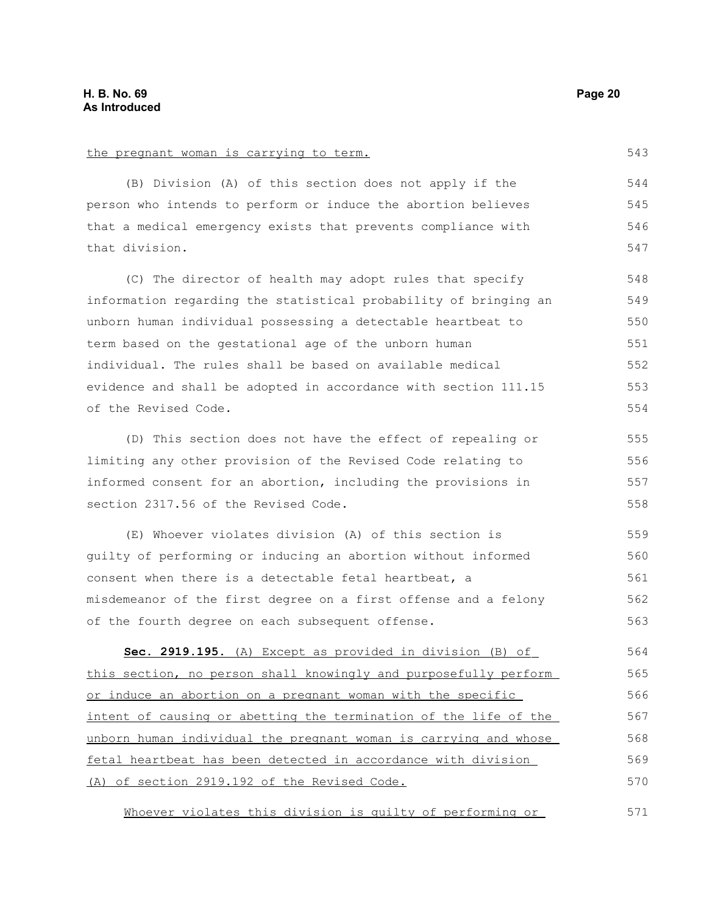the pregnant woman is carrying to term.

(B) Division (A) of this section does not apply if the person who intends to perform or induce the abortion believes that a medical emergency exists that prevents compliance with that division. (C) The director of health may adopt rules that specify information regarding the statistical probability of bringing an unborn human individual possessing a detectable heartbeat to term based on the gestational age of the unborn human individual. The rules shall be based on available medical evidence and shall be adopted in accordance with section 111.15 of the Revised Code. (D) This section does not have the effect of repealing or limiting any other provision of the Revised Code relating to informed consent for an abortion, including the provisions in section 2317.56 of the Revised Code. (E) Whoever violates division (A) of this section is guilty of performing or inducing an abortion without informed consent when there is a detectable fetal heartbeat, a misdemeanor of the first degree on a first offense and a felony of the fourth degree on each subsequent offense. **Sec. 2919.195.** (A) Except as provided in division (B) of this section, no person shall knowingly and purposefully perform or induce an abortion on a pregnant woman with the specific intent of causing or abetting the termination of the life of the unborn human individual the pregnant woman is carrying and whose 544 545 546 547 548 549 550 551 552 553 554 555 556 557 558 559 560 561 562 563 564 565 566 567 568

Whoever violates this division is guilty of performing or 571

fetal heartbeat has been detected in accordance with division

(A) of section 2919.192 of the Revised Code.

543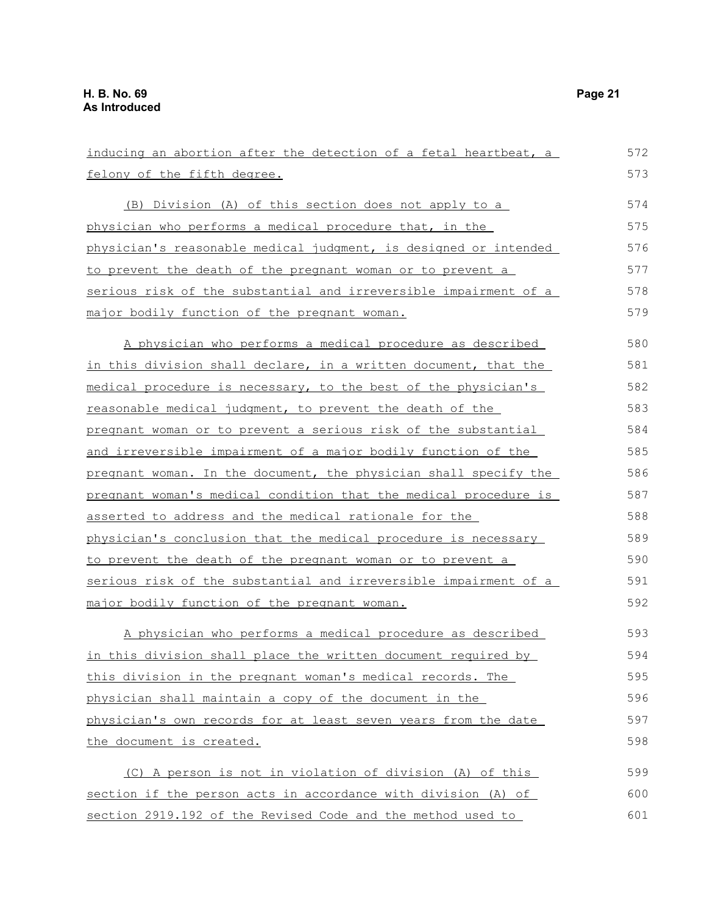inducing an abortion after the detection of a fetal heartbeat, a felony of the fifth degree. (B) Division (A) of this section does not apply to a physician who performs a medical procedure that, in the physician's reasonable medical judgment, is designed or intended to prevent the death of the pregnant woman or to prevent a serious risk of the substantial and irreversible impairment of a major bodily function of the pregnant woman. A physician who performs a medical procedure as described in this division shall declare, in a written document, that the medical procedure is necessary, to the best of the physician's reasonable medical judgment, to prevent the death of the pregnant woman or to prevent a serious risk of the substantial and irreversible impairment of a major bodily function of the pregnant woman. In the document, the physician shall specify the pregnant woman's medical condition that the medical procedure is asserted to address and the medical rationale for the physician's conclusion that the medical procedure is necessary to prevent the death of the pregnant woman or to prevent a serious risk of the substantial and irreversible impairment of a major bodily function of the pregnant woman. A physician who performs a medical procedure as described in this division shall place the written document required by this division in the pregnant woman's medical records. The physician shall maintain a copy of the document in the physician's own records for at least seven years from the date the document is created. (C) A person is not in violation of division (A) of this section if the person acts in accordance with division (A) of section 2919.192 of the Revised Code and the method used to 572 573 574 575 576 577 578 579 580 581 582 583 584 585 586 587 588 589 590 591 592 593 594 595 596 597 598 599 600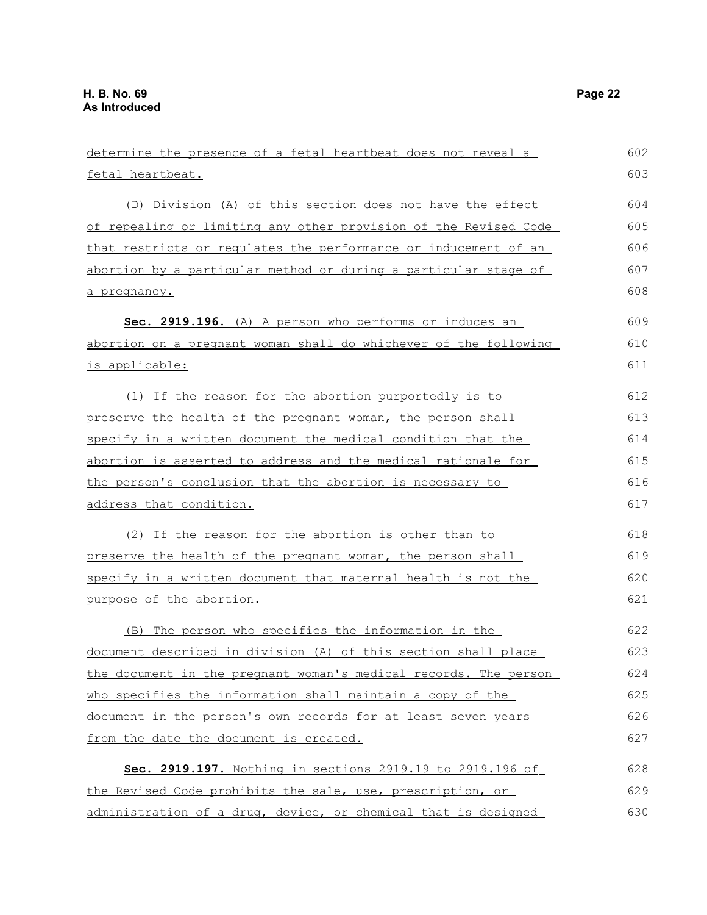| determine the presence of a fetal heartbeat does not reveal a    | 602 |
|------------------------------------------------------------------|-----|
| fetal heartbeat.                                                 | 603 |
| (D) Division (A) of this section does not have the effect        | 604 |
| of repealing or limiting any other provision of the Revised Code | 605 |
| that restricts or regulates the performance or inducement of an  | 606 |
| abortion by a particular method or during a particular stage of  | 607 |
| a pregnancy.                                                     | 608 |
| Sec. 2919.196. (A) A person who performs or induces an           | 609 |
| abortion on a pregnant woman shall do whichever of the following | 610 |
| is applicable:                                                   | 611 |
| (1) If the reason for the abortion purportedly is to             | 612 |
| preserve the health of the pregnant woman, the person shall      | 613 |
| specify in a written document the medical condition that the     | 614 |
| abortion is asserted to address and the medical rationale for    | 615 |
| the person's conclusion that the abortion is necessary to        | 616 |
| address that condition.                                          | 617 |
| (2) If the reason for the abortion is other than to              | 618 |
| preserve the health of the pregnant woman, the person shall      | 619 |
| specify in a written document that maternal health is not the    | 620 |
| purpose of the abortion.                                         | 621 |
| (B) The person who specifies the information in the              | 622 |
| document described in division (A) of this section shall place   | 623 |
| the document in the pregnant woman's medical records. The person | 624 |
| who specifies the information shall maintain a copy of the       | 625 |
| document in the person's own records for at least seven years    | 626 |
| from the date the document is created.                           | 627 |
| Sec. 2919.197. Nothing in sections 2919.19 to 2919.196 of        | 628 |
| the Revised Code prohibits the sale, use, prescription, or       | 629 |
| administration of a drug, device, or chemical that is designed   | 630 |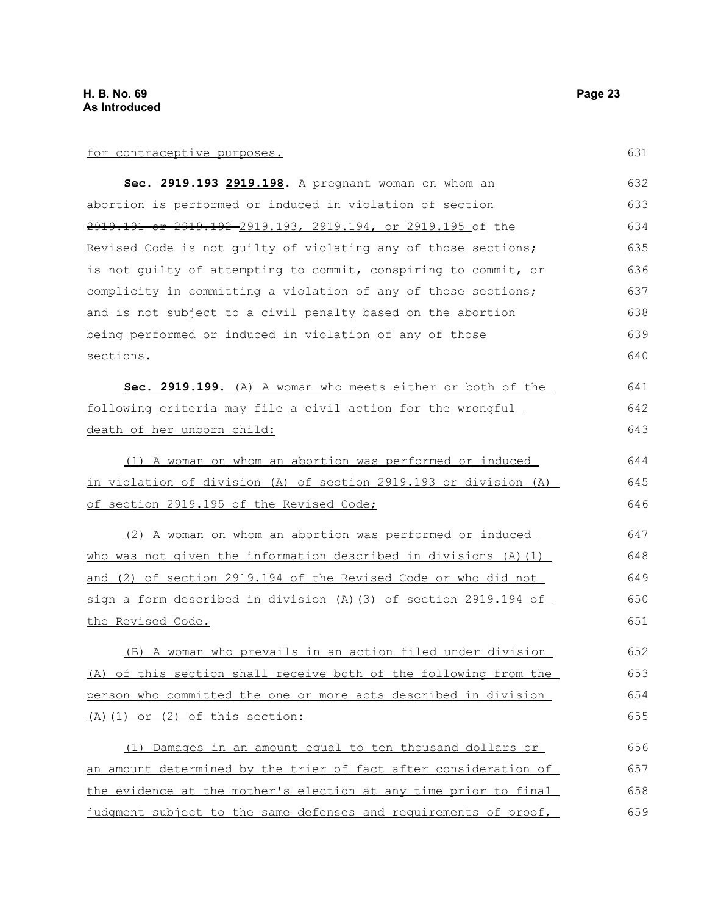| Sec. 2919.193 2919.198. A pregnant woman on whom an              | 632 |
|------------------------------------------------------------------|-----|
| abortion is performed or induced in violation of section         | 633 |
| 2919.191 or 2919.192-2919.193, 2919.194, or 2919.195 of the      | 634 |
| Revised Code is not guilty of violating any of those sections;   | 635 |
| is not quilty of attempting to commit, conspiring to commit, or  | 636 |
| complicity in committing a violation of any of those sections;   | 637 |
| and is not subject to a civil penalty based on the abortion      | 638 |
| being performed or induced in violation of any of those          | 639 |
| sections.                                                        | 640 |
| Sec. 2919.199. (A) A woman who meets either or both of the       | 641 |
| following criteria may file a civil action for the wrongful      | 642 |
| death of her unborn child:                                       | 643 |
| (1) A woman on whom an abortion was performed or induced         | 644 |
| in violation of division (A) of section 2919.193 or division (A) | 645 |
| of section 2919.195 of the Revised Code;                         | 646 |
| (2) A woman on whom an abortion was performed or induced         | 647 |
| who was not given the information described in divisions (A) (1) | 648 |
| and (2) of section 2919.194 of the Revised Code or who did not   | 649 |
| sign a form described in division (A) (3) of section 2919.194 of | 650 |
| the Revised Code.                                                | 651 |
| (B) A woman who prevails in an action filed under division       | 652 |
| (A) of this section shall receive both of the following from the | 653 |
| person who committed the one or more acts described in division  | 654 |
| (A) (1) or (2) of this section:                                  | 655 |
| (1) Damages in an amount equal to ten thousand dollars or        | 656 |
| an amount determined by the trier of fact after consideration of | 657 |
| the evidence at the mother's election at any time prior to final | 658 |
| judgment subject to the same defenses and requirements of proof, | 659 |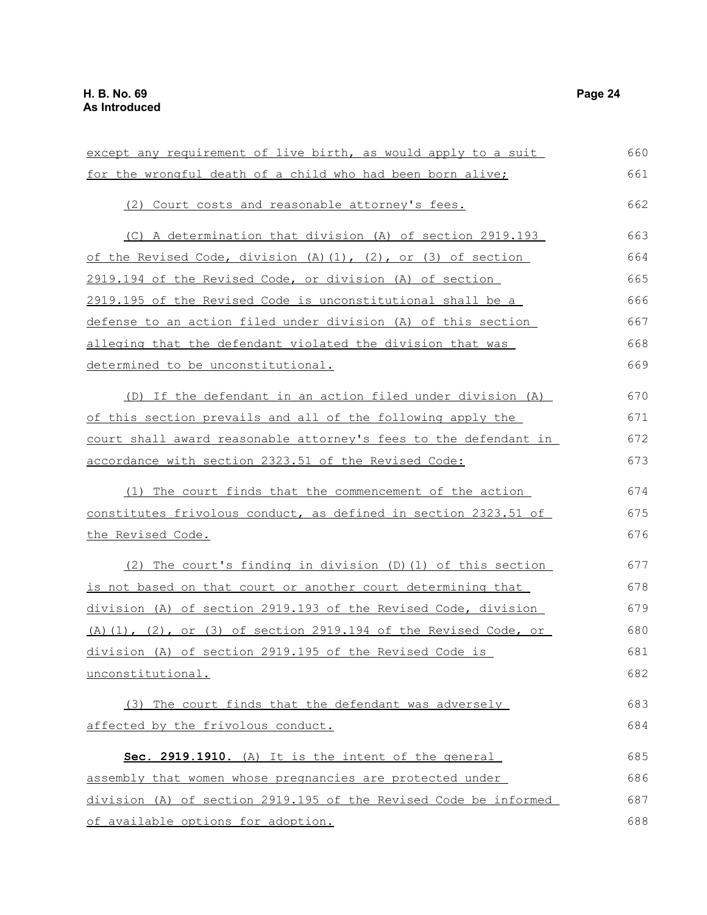| except any requirement of live birth, as would apply to a suit   | 660 |
|------------------------------------------------------------------|-----|
| for the wrongful death of a child who had been born alive;       | 661 |
| (2) Court costs and reasonable attorney's fees.                  | 662 |
| (C) A determination that division (A) of section 2919.193        | 663 |
| of the Revised Code, division (A) (1), (2), or (3) of section    | 664 |
| 2919.194 of the Revised Code, or division (A) of section         | 665 |
| 2919.195 of the Revised Code is unconstitutional shall be a      | 666 |
| defense to an action filed under division (A) of this section    | 667 |
| alleging that the defendant violated the division that was       | 668 |
| determined to be unconstitutional.                               | 669 |
| (D) If the defendant in an action filed under division (A)       | 670 |
| of this section prevails and all of the following apply the      | 671 |
| court shall award reasonable attorney's fees to the defendant in | 672 |
| accordance with section 2323.51 of the Revised Code:             | 673 |
| (1) The court finds that the commencement of the action          | 674 |
| constitutes frivolous conduct, as defined in section 2323.51 of  | 675 |
| the Revised Code.                                                | 676 |
| (2) The court's finding in division (D) (1) of this section      | 677 |
| is not based on that court or another court determining that     | 678 |
| division (A) of section 2919.193 of the Revised Code, division   | 679 |
| (A) (1), (2), or (3) of section 2919.194 of the Revised Code, or | 680 |
| division (A) of section 2919.195 of the Revised Code is          | 681 |
| unconstitutional.                                                | 682 |
| (3) The court finds that the defendant was adversely             | 683 |
| affected by the frivolous conduct.                               | 684 |
| Sec. 2919.1910. (A) It is the intent of the general              | 685 |
| assembly that women whose pregnancies are protected under        | 686 |
| division (A) of section 2919.195 of the Revised Code be informed | 687 |
| of available options for adoption.                               | 688 |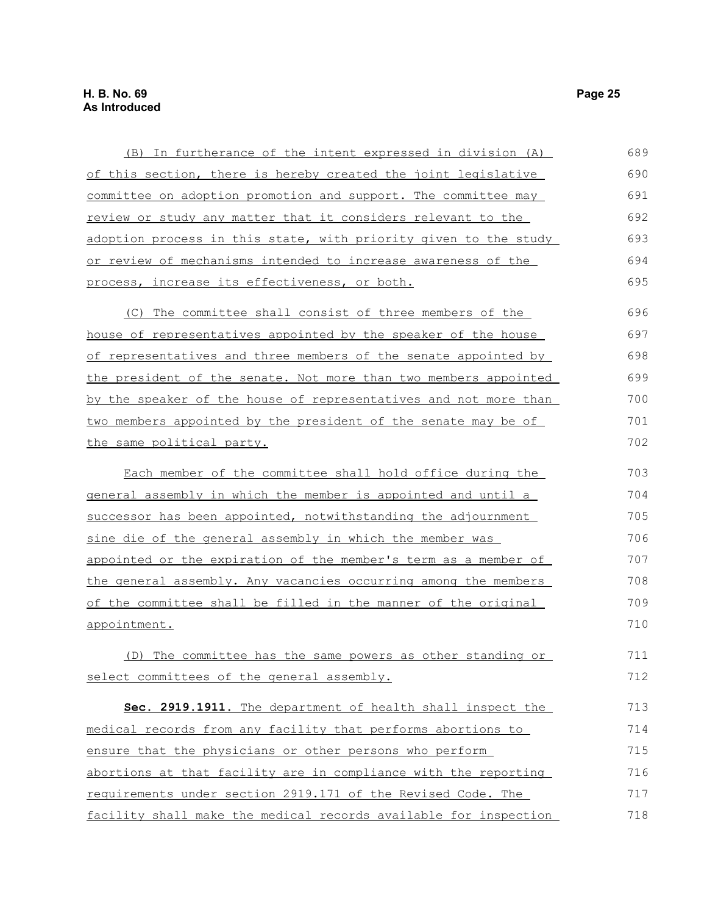| <u>(B)</u> In furtherance of the intent expressed in division (A)     | 689 |
|-----------------------------------------------------------------------|-----|
| <u>of this section, there is hereby created the joint legislative</u> | 690 |
| committee on adoption promotion and support. The committee may        | 691 |
| review or study any matter that it considers relevant to the          | 692 |
| adoption process in this state, with priority given to the study      | 693 |
| <u>or review of mechanisms intended to increase awareness of the</u>  | 694 |
| process, increase its effectiveness, or both.                         | 695 |
| The committee shall consist of three members of the<br>(C)            | 696 |
| <u>house of representatives appointed by the speaker of the house</u> | 697 |
| of representatives and three members of the senate appointed by       | 698 |
| the president of the senate. Not more than two members appointed      | 699 |
| by the speaker of the house of representatives and not more than      | 700 |
| two members appointed by the president of the senate may be of        | 701 |
| the same political party.                                             | 702 |
| Each member of the committee shall hold office during the             | 703 |
| general assembly in which the member is appointed and until a         | 704 |
| successor has been appointed, notwithstanding the adjournment         | 705 |
| sine die of the general assembly in which the member was              | 706 |
| appointed or the expiration of the member's term as a member of       | 707 |
| the general assembly. Any vacancies occurring among the members       | 708 |
| of the committee shall be filled in the manner of the original        | 709 |
| appointment.                                                          | 710 |
| (D) The committee has the same powers as other standing or            | 711 |
| select committees of the general assembly.                            | 712 |
| Sec. 2919.1911. The department of health shall inspect the            | 713 |
| medical records from any facility that performs abortions to          | 714 |
| ensure that the physicians or other persons who perform               | 715 |
| abortions at that facility are in compliance with the reporting       | 716 |
| requirements under section 2919.171 of the Revised Code. The          | 717 |
| facility shall make the medical records available for inspection      | 718 |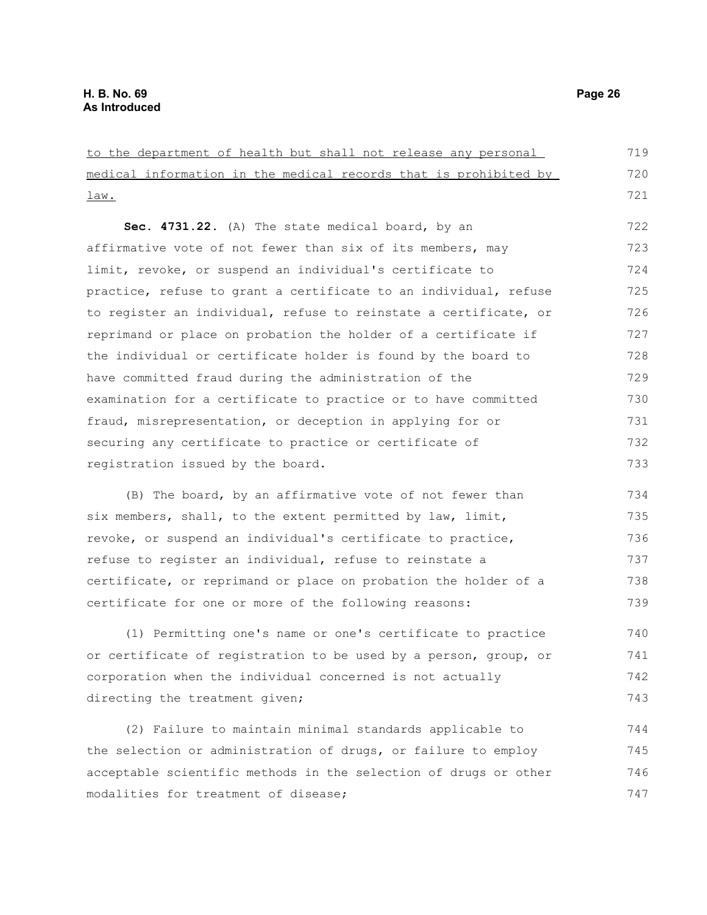to the department of health but shall not release any personal medical information in the medical records that is prohibited by law. **Sec. 4731.22.** (A) The state medical board, by an affirmative vote of not fewer than six of its members, may limit, revoke, or suspend an individual's certificate to practice, refuse to grant a certificate to an individual, refuse to register an individual, refuse to reinstate a certificate, or reprimand or place on probation the holder of a certificate if the individual or certificate holder is found by the board to have committed fraud during the administration of the examination for a certificate to practice or to have committed fraud, misrepresentation, or deception in applying for or securing any certificate to practice or certificate of registration issued by the board. (B) The board, by an affirmative vote of not fewer than 719 720 721 722 723 724 725 726 727 728 729 730 731 732 733 734

six members, shall, to the extent permitted by law, limit, revoke, or suspend an individual's certificate to practice, refuse to register an individual, refuse to reinstate a certificate, or reprimand or place on probation the holder of a certificate for one or more of the following reasons: 735 736 737 738 739

(1) Permitting one's name or one's certificate to practice or certificate of registration to be used by a person, group, or corporation when the individual concerned is not actually directing the treatment given; 740 741 742 743

(2) Failure to maintain minimal standards applicable to the selection or administration of drugs, or failure to employ acceptable scientific methods in the selection of drugs or other modalities for treatment of disease; 744 745 746 747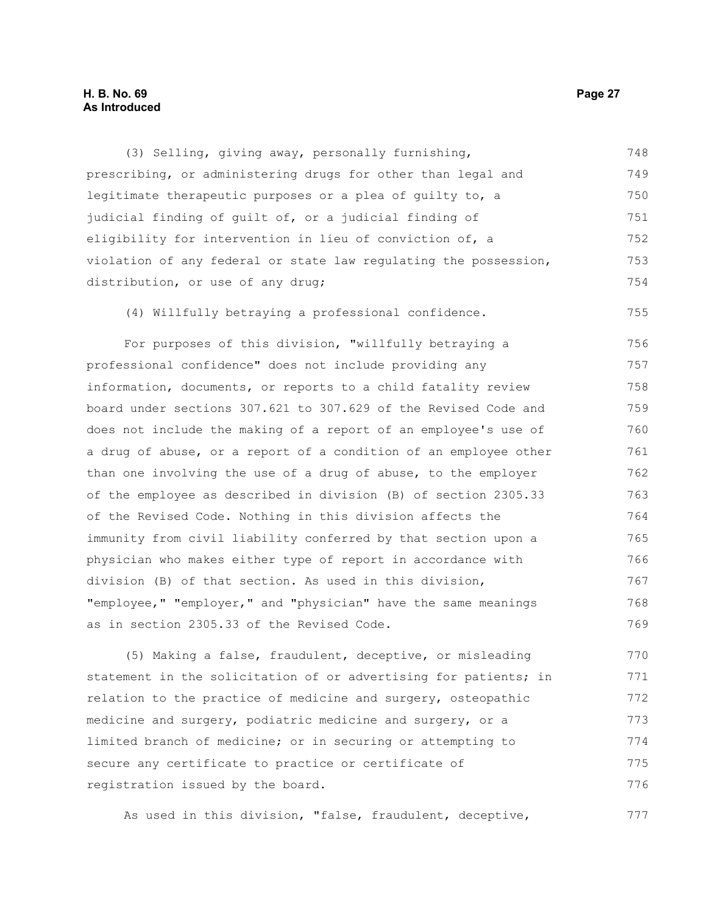#### **H. B. No. 69 Page 27 As Introduced**

(3) Selling, giving away, personally furnishing, prescribing, or administering drugs for other than legal and legitimate therapeutic purposes or a plea of guilty to, a judicial finding of guilt of, or a judicial finding of eligibility for intervention in lieu of conviction of, a violation of any federal or state law regulating the possession, distribution, or use of any drug; 748 749 750 751 752 753 754

(4) Willfully betraying a professional confidence. 755

For purposes of this division, "willfully betraying a professional confidence" does not include providing any information, documents, or reports to a child fatality review board under sections 307.621 to 307.629 of the Revised Code and does not include the making of a report of an employee's use of a drug of abuse, or a report of a condition of an employee other than one involving the use of a drug of abuse, to the employer of the employee as described in division (B) of section 2305.33 of the Revised Code. Nothing in this division affects the immunity from civil liability conferred by that section upon a physician who makes either type of report in accordance with division (B) of that section. As used in this division, "employee," "employer," and "physician" have the same meanings as in section 2305.33 of the Revised Code. 756 757 758 759 760 761 762 763 764 765 766 767 768 769

(5) Making a false, fraudulent, deceptive, or misleading statement in the solicitation of or advertising for patients; in relation to the practice of medicine and surgery, osteopathic medicine and surgery, podiatric medicine and surgery, or a limited branch of medicine; or in securing or attempting to secure any certificate to practice or certificate of registration issued by the board. 770 771 772 773 774 775 776

As used in this division, "false, fraudulent, deceptive, 777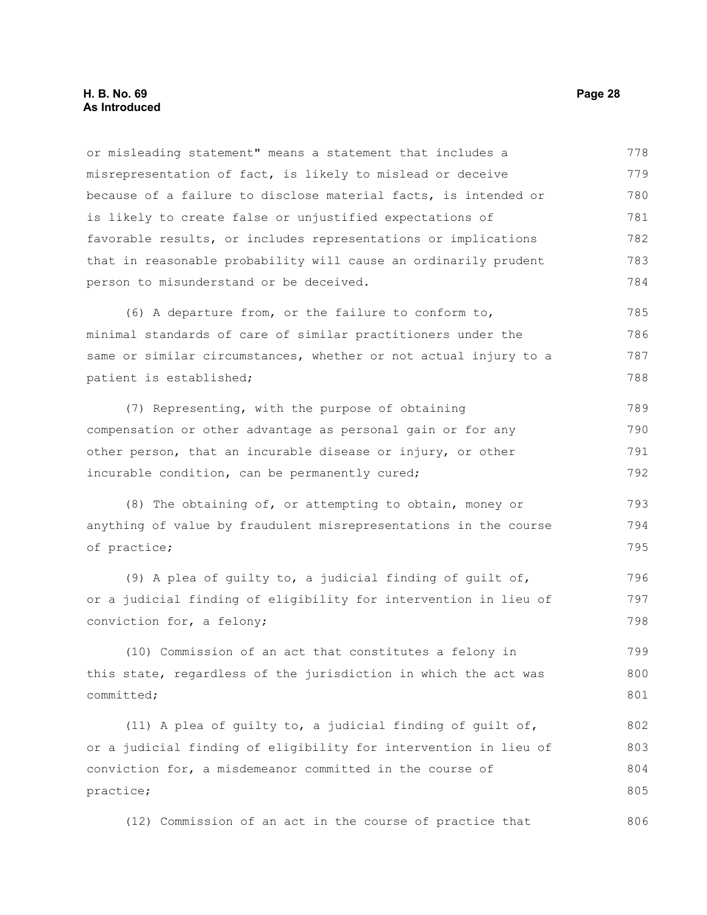#### **H. B. No. 69 Page 28 As Introduced**

or misleading statement" means a statement that includes a misrepresentation of fact, is likely to mislead or deceive because of a failure to disclose material facts, is intended or is likely to create false or unjustified expectations of favorable results, or includes representations or implications that in reasonable probability will cause an ordinarily prudent person to misunderstand or be deceived. 778 779 780 781 782 783 784

(6) A departure from, or the failure to conform to, minimal standards of care of similar practitioners under the same or similar circumstances, whether or not actual injury to a patient is established; 785 786 787 788

(7) Representing, with the purpose of obtaining compensation or other advantage as personal gain or for any other person, that an incurable disease or injury, or other incurable condition, can be permanently cured; 789 790 791 792

(8) The obtaining of, or attempting to obtain, money or anything of value by fraudulent misrepresentations in the course of practice; 793 794 795

(9) A plea of guilty to, a judicial finding of guilt of, or a judicial finding of eligibility for intervention in lieu of conviction for, a felony; 796 797 798

(10) Commission of an act that constitutes a felony in this state, regardless of the jurisdiction in which the act was committed; 799 800 801

(11) A plea of guilty to, a judicial finding of guilt of, or a judicial finding of eligibility for intervention in lieu of conviction for, a misdemeanor committed in the course of practice; 802 803 804 805

(12) Commission of an act in the course of practice that 806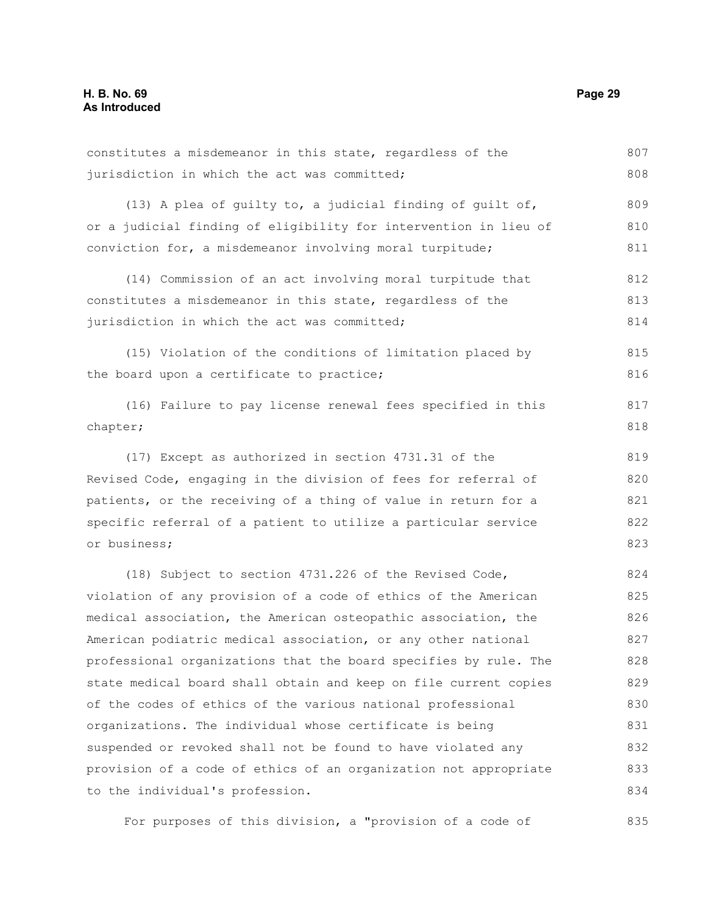constitutes a misdemeanor in this state, regardless of the jurisdiction in which the act was committed; (13) A plea of guilty to, a judicial finding of guilt of, or a judicial finding of eligibility for intervention in lieu of conviction for, a misdemeanor involving moral turpitude; (14) Commission of an act involving moral turpitude that constitutes a misdemeanor in this state, regardless of the jurisdiction in which the act was committed; (15) Violation of the conditions of limitation placed by the board upon a certificate to practice; (16) Failure to pay license renewal fees specified in this chapter; (17) Except as authorized in section 4731.31 of the Revised Code, engaging in the division of fees for referral of patients, or the receiving of a thing of value in return for a specific referral of a patient to utilize a particular service or business; (18) Subject to section 4731.226 of the Revised Code, violation of any provision of a code of ethics of the American medical association, the American osteopathic association, the American podiatric medical association, or any other national professional organizations that the board specifies by rule. The state medical board shall obtain and keep on file current copies of the codes of ethics of the various national professional organizations. The individual whose certificate is being suspended or revoked shall not be found to have violated any provision of a code of ethics of an organization not appropriate to the individual's profession. 807 808 809 810 811 812 813 814 815 816 817 818 819 820 821 822 823 824 825 826 827 828 829 830 831 832 833 834

For purposes of this division, a "provision of a code of 835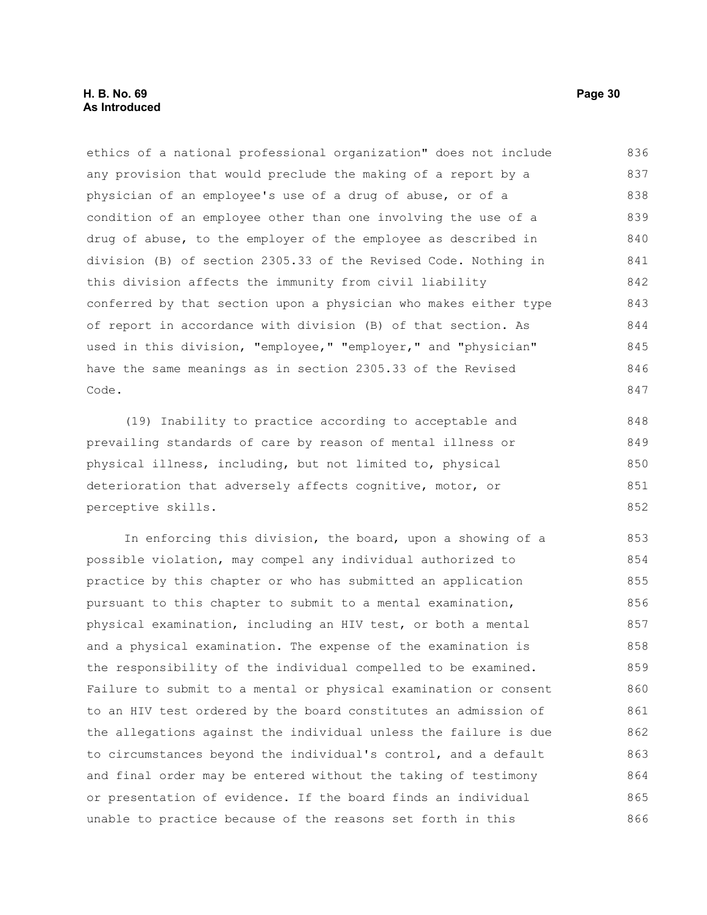#### **H. B. No. 69 Page 30 As Introduced**

ethics of a national professional organization" does not include any provision that would preclude the making of a report by a physician of an employee's use of a drug of abuse, or of a condition of an employee other than one involving the use of a drug of abuse, to the employer of the employee as described in division (B) of section 2305.33 of the Revised Code. Nothing in this division affects the immunity from civil liability conferred by that section upon a physician who makes either type of report in accordance with division (B) of that section. As used in this division, "employee," "employer," and "physician" have the same meanings as in section 2305.33 of the Revised Code. 836 837 838 839 840 841 842 843 844 845 846 847

(19) Inability to practice according to acceptable and prevailing standards of care by reason of mental illness or physical illness, including, but not limited to, physical deterioration that adversely affects cognitive, motor, or perceptive skills. 848 849 850 851 852

In enforcing this division, the board, upon a showing of a possible violation, may compel any individual authorized to practice by this chapter or who has submitted an application pursuant to this chapter to submit to a mental examination, physical examination, including an HIV test, or both a mental and a physical examination. The expense of the examination is the responsibility of the individual compelled to be examined. Failure to submit to a mental or physical examination or consent to an HIV test ordered by the board constitutes an admission of the allegations against the individual unless the failure is due to circumstances beyond the individual's control, and a default and final order may be entered without the taking of testimony or presentation of evidence. If the board finds an individual unable to practice because of the reasons set forth in this 853 854 855 856 857 858 859 860 861 862 863 864 865 866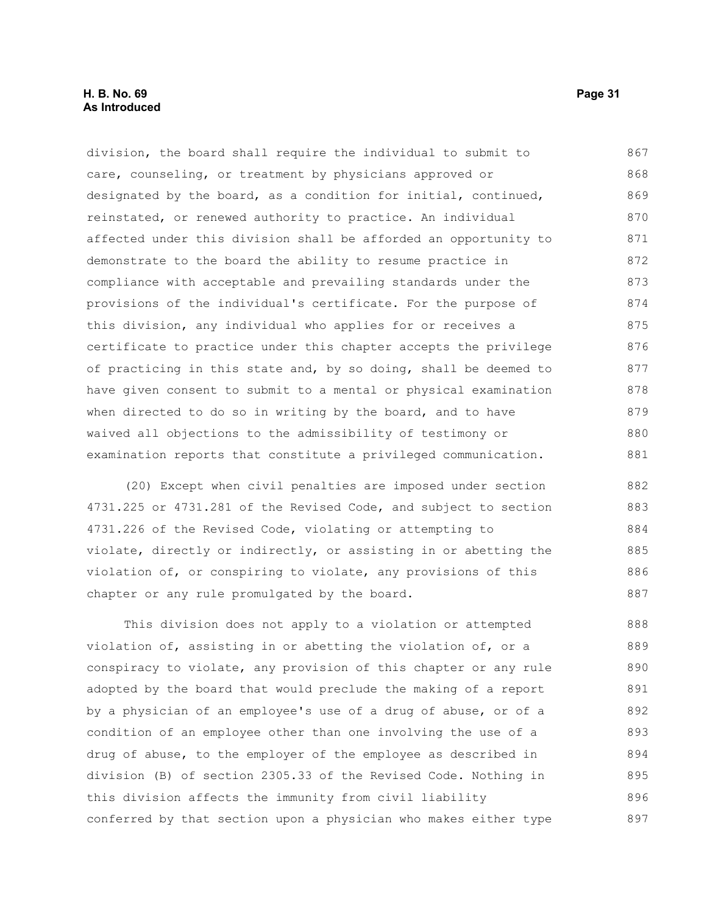#### **H. B. No. 69 Page 31 As Introduced**

division, the board shall require the individual to submit to care, counseling, or treatment by physicians approved or designated by the board, as a condition for initial, continued, reinstated, or renewed authority to practice. An individual affected under this division shall be afforded an opportunity to demonstrate to the board the ability to resume practice in compliance with acceptable and prevailing standards under the provisions of the individual's certificate. For the purpose of this division, any individual who applies for or receives a certificate to practice under this chapter accepts the privilege of practicing in this state and, by so doing, shall be deemed to have given consent to submit to a mental or physical examination when directed to do so in writing by the board, and to have waived all objections to the admissibility of testimony or examination reports that constitute a privileged communication. 867 868 869 870 871 872 873 874 875 876 877 878 879 880 881

(20) Except when civil penalties are imposed under section 4731.225 or 4731.281 of the Revised Code, and subject to section 4731.226 of the Revised Code, violating or attempting to violate, directly or indirectly, or assisting in or abetting the violation of, or conspiring to violate, any provisions of this chapter or any rule promulgated by the board. 882 883 884 885 886 887

This division does not apply to a violation or attempted violation of, assisting in or abetting the violation of, or a conspiracy to violate, any provision of this chapter or any rule adopted by the board that would preclude the making of a report by a physician of an employee's use of a drug of abuse, or of a condition of an employee other than one involving the use of a drug of abuse, to the employer of the employee as described in division (B) of section 2305.33 of the Revised Code. Nothing in this division affects the immunity from civil liability conferred by that section upon a physician who makes either type 888 889 890 891 892 893 894 895 896 897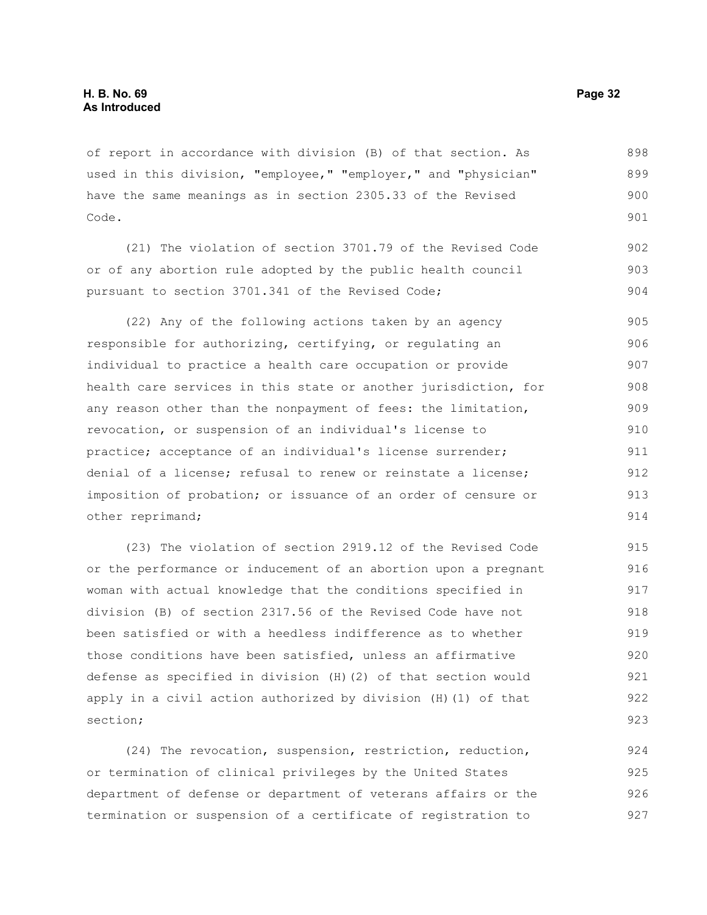of report in accordance with division (B) of that section. As used in this division, "employee," "employer," and "physician" have the same meanings as in section 2305.33 of the Revised Code. 898 899 900 901

(21) The violation of section 3701.79 of the Revised Code or of any abortion rule adopted by the public health council pursuant to section 3701.341 of the Revised Code; 902 903 904

(22) Any of the following actions taken by an agency responsible for authorizing, certifying, or regulating an individual to practice a health care occupation or provide health care services in this state or another jurisdiction, for any reason other than the nonpayment of fees: the limitation, revocation, or suspension of an individual's license to practice; acceptance of an individual's license surrender; denial of a license; refusal to renew or reinstate a license; imposition of probation; or issuance of an order of censure or other reprimand; 905 906 907 908 909 910 911 912 913 914

(23) The violation of section 2919.12 of the Revised Code or the performance or inducement of an abortion upon a pregnant woman with actual knowledge that the conditions specified in division (B) of section 2317.56 of the Revised Code have not been satisfied or with a heedless indifference as to whether those conditions have been satisfied, unless an affirmative defense as specified in division (H)(2) of that section would apply in a civil action authorized by division (H)(1) of that section; 915 916 917 918 919 920 921 922 923

(24) The revocation, suspension, restriction, reduction, or termination of clinical privileges by the United States department of defense or department of veterans affairs or the termination or suspension of a certificate of registration to 924 925 926 927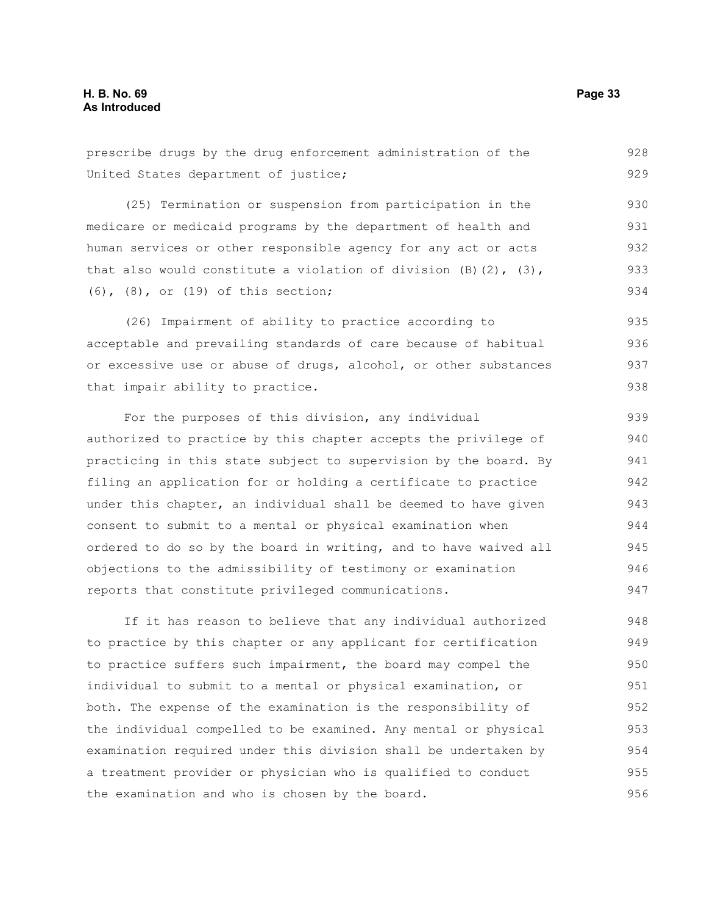prescribe drugs by the drug enforcement administration of the United States department of justice; (25) Termination or suspension from participation in the medicare or medicaid programs by the department of health and human services or other responsible agency for any act or acts that also would constitute a violation of division  $(B)$   $(2)$ ,  $(3)$ , (6), (8), or (19) of this section; (26) Impairment of ability to practice according to acceptable and prevailing standards of care because of habitual or excessive use or abuse of drugs, alcohol, or other substances that impair ability to practice. For the purposes of this division, any individual authorized to practice by this chapter accepts the privilege of practicing in this state subject to supervision by the board. By filing an application for or holding a certificate to practice under this chapter, an individual shall be deemed to have given consent to submit to a mental or physical examination when ordered to do so by the board in writing, and to have waived all objections to the admissibility of testimony or examination reports that constitute privileged communications. 928 929 930 931 932 933 934 935 936 937 938 939 940 941 942 943 944 945 946 947

If it has reason to believe that any individual authorized to practice by this chapter or any applicant for certification to practice suffers such impairment, the board may compel the individual to submit to a mental or physical examination, or both. The expense of the examination is the responsibility of the individual compelled to be examined. Any mental or physical examination required under this division shall be undertaken by a treatment provider or physician who is qualified to conduct the examination and who is chosen by the board. 948 949 950 951 952 953 954 955 956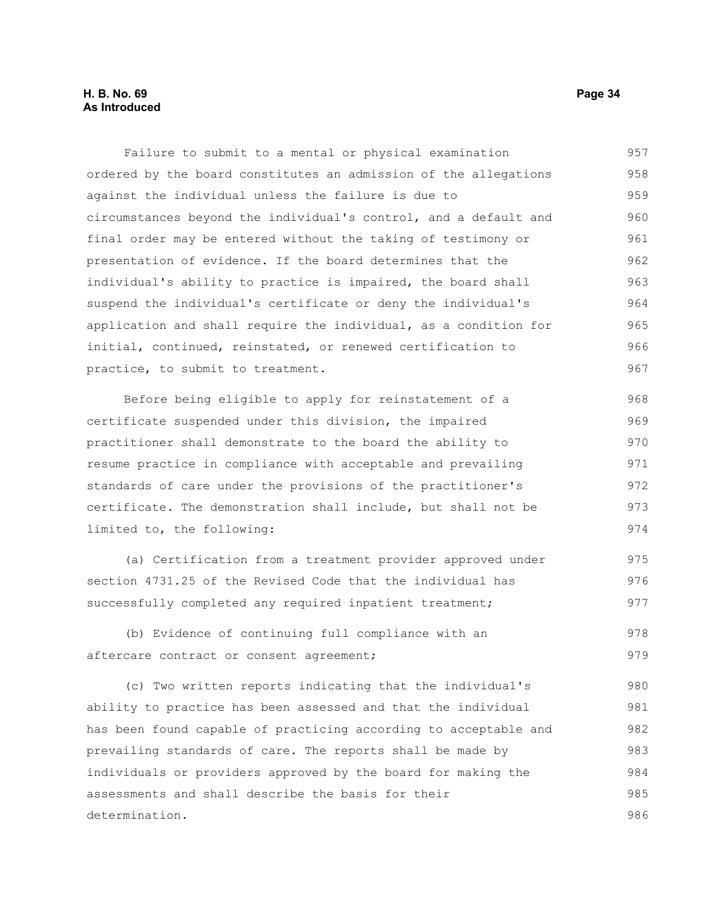Failure to submit to a mental or physical examination ordered by the board constitutes an admission of the allegations against the individual unless the failure is due to circumstances beyond the individual's control, and a default and final order may be entered without the taking of testimony or presentation of evidence. If the board determines that the individual's ability to practice is impaired, the board shall suspend the individual's certificate or deny the individual's application and shall require the individual, as a condition for initial, continued, reinstated, or renewed certification to practice, to submit to treatment. 957 958 959 960 961 962 963 964 965 966 967

Before being eligible to apply for reinstatement of a certificate suspended under this division, the impaired practitioner shall demonstrate to the board the ability to resume practice in compliance with acceptable and prevailing standards of care under the provisions of the practitioner's certificate. The demonstration shall include, but shall not be limited to, the following: 968 969 970 971 972 973 974

(a) Certification from a treatment provider approved under section 4731.25 of the Revised Code that the individual has successfully completed any required inpatient treatment; 975 976 977

(b) Evidence of continuing full compliance with an aftercare contract or consent agreement; 978 979

(c) Two written reports indicating that the individual's ability to practice has been assessed and that the individual has been found capable of practicing according to acceptable and prevailing standards of care. The reports shall be made by individuals or providers approved by the board for making the assessments and shall describe the basis for their determination. 980 981 982 983 984 985 986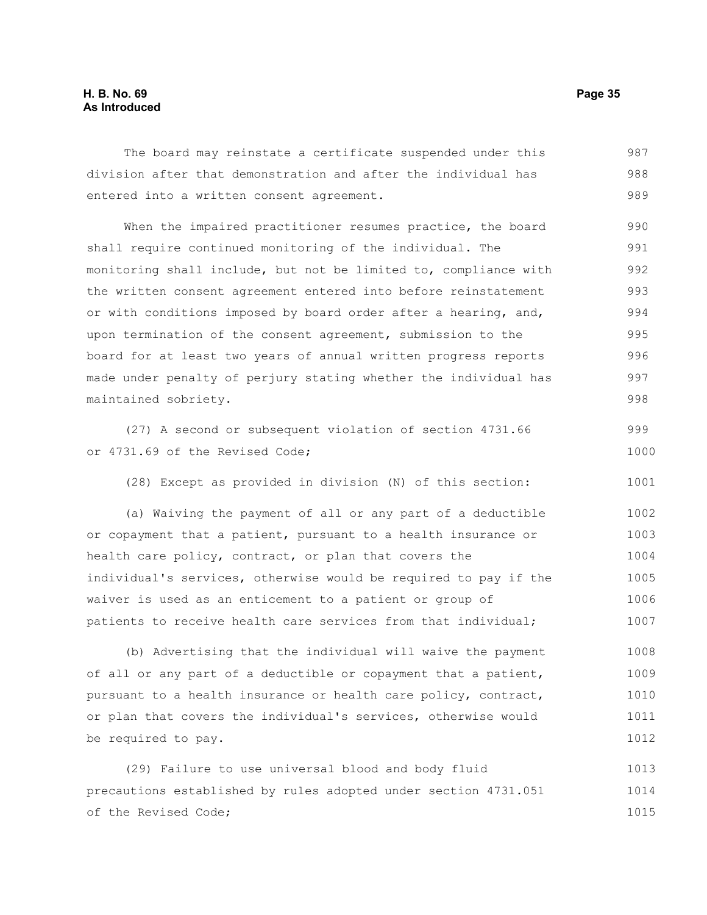#### **H. B. No. 69 Page 35 As Introduced**

The board may reinstate a certificate suspended under this division after that demonstration and after the individual has entered into a written consent agreement. 987 988 989

When the impaired practitioner resumes practice, the board shall require continued monitoring of the individual. The monitoring shall include, but not be limited to, compliance with the written consent agreement entered into before reinstatement or with conditions imposed by board order after a hearing, and, upon termination of the consent agreement, submission to the board for at least two years of annual written progress reports made under penalty of perjury stating whether the individual has maintained sobriety. 990 991 992 993 994 995 996 997 998

(27) A second or subsequent violation of section 4731.66 or 4731.69 of the Revised Code; 999 1000

(28) Except as provided in division (N) of this section: 1001

(a) Waiving the payment of all or any part of a deductible or copayment that a patient, pursuant to a health insurance or health care policy, contract, or plan that covers the individual's services, otherwise would be required to pay if the waiver is used as an enticement to a patient or group of patients to receive health care services from that individual; 1002 1003 1004 1005 1006 1007

(b) Advertising that the individual will waive the payment of all or any part of a deductible or copayment that a patient, pursuant to a health insurance or health care policy, contract, or plan that covers the individual's services, otherwise would be required to pay. 1008 1009 1010 1011 1012

(29) Failure to use universal blood and body fluid precautions established by rules adopted under section 4731.051 of the Revised Code; 1013 1014 1015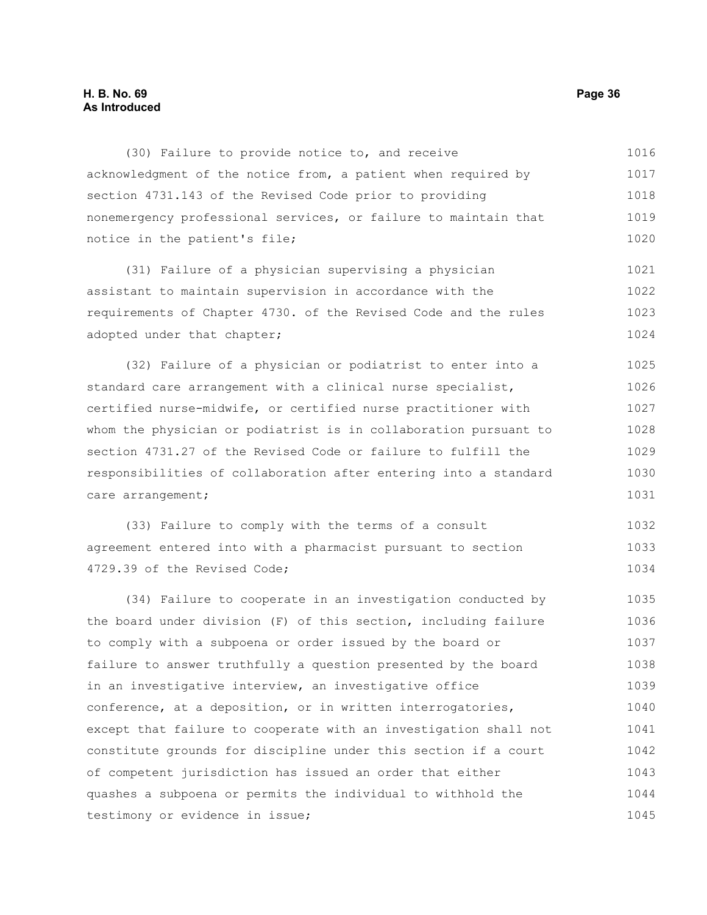#### **H. B. No. 69 Page 36 As Introduced**

(30) Failure to provide notice to, and receive acknowledgment of the notice from, a patient when required by section 4731.143 of the Revised Code prior to providing nonemergency professional services, or failure to maintain that notice in the patient's file; 1016 1017 1018 1019 1020

(31) Failure of a physician supervising a physician assistant to maintain supervision in accordance with the requirements of Chapter 4730. of the Revised Code and the rules adopted under that chapter; 1021 1022 1023 1024

(32) Failure of a physician or podiatrist to enter into a standard care arrangement with a clinical nurse specialist, certified nurse-midwife, or certified nurse practitioner with whom the physician or podiatrist is in collaboration pursuant to section 4731.27 of the Revised Code or failure to fulfill the responsibilities of collaboration after entering into a standard care arrangement; 1025 1026 1027 1028 1029 1030 1031

(33) Failure to comply with the terms of a consult agreement entered into with a pharmacist pursuant to section 4729.39 of the Revised Code; 1032 1033 1034

(34) Failure to cooperate in an investigation conducted by the board under division (F) of this section, including failure to comply with a subpoena or order issued by the board or failure to answer truthfully a question presented by the board in an investigative interview, an investigative office conference, at a deposition, or in written interrogatories, except that failure to cooperate with an investigation shall not constitute grounds for discipline under this section if a court of competent jurisdiction has issued an order that either quashes a subpoena or permits the individual to withhold the testimony or evidence in issue; 1035 1036 1037 1038 1039 1040 1041 1042 1043 1044 1045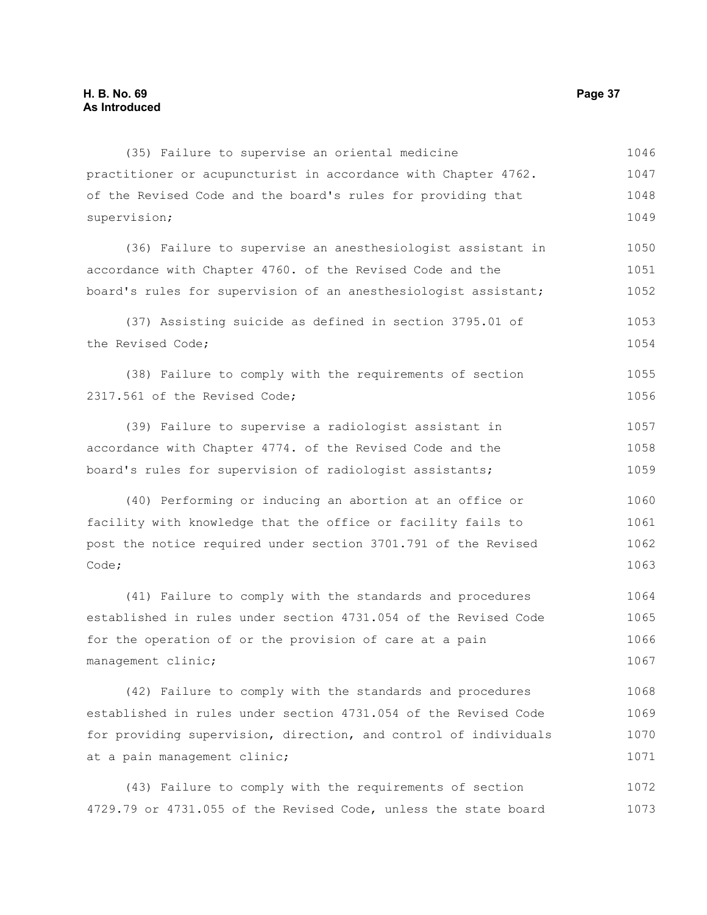(35) Failure to supervise an oriental medicine practitioner or acupuncturist in accordance with Chapter 4762. of the Revised Code and the board's rules for providing that supervision; (36) Failure to supervise an anesthesiologist assistant in accordance with Chapter 4760. of the Revised Code and the board's rules for supervision of an anesthesiologist assistant; (37) Assisting suicide as defined in section 3795.01 of the Revised Code; (38) Failure to comply with the requirements of section 2317.561 of the Revised Code; (39) Failure to supervise a radiologist assistant in accordance with Chapter 4774. of the Revised Code and the board's rules for supervision of radiologist assistants; (40) Performing or inducing an abortion at an office or facility with knowledge that the office or facility fails to post the notice required under section 3701.791 of the Revised Code; (41) Failure to comply with the standards and procedures established in rules under section 4731.054 of the Revised Code for the operation of or the provision of care at a pain management clinic; (42) Failure to comply with the standards and procedures 1046 1047 1048 1049 1050 1051 1052 1053 1054 1055 1056 1057 1058 1059 1060 1061 1062 1063 1064 1065 1066 1067 1068

established in rules under section 4731.054 of the Revised Code for providing supervision, direction, and control of individuals at a pain management clinic; 1069 1070 1071

(43) Failure to comply with the requirements of section 4729.79 or 4731.055 of the Revised Code, unless the state board 1072 1073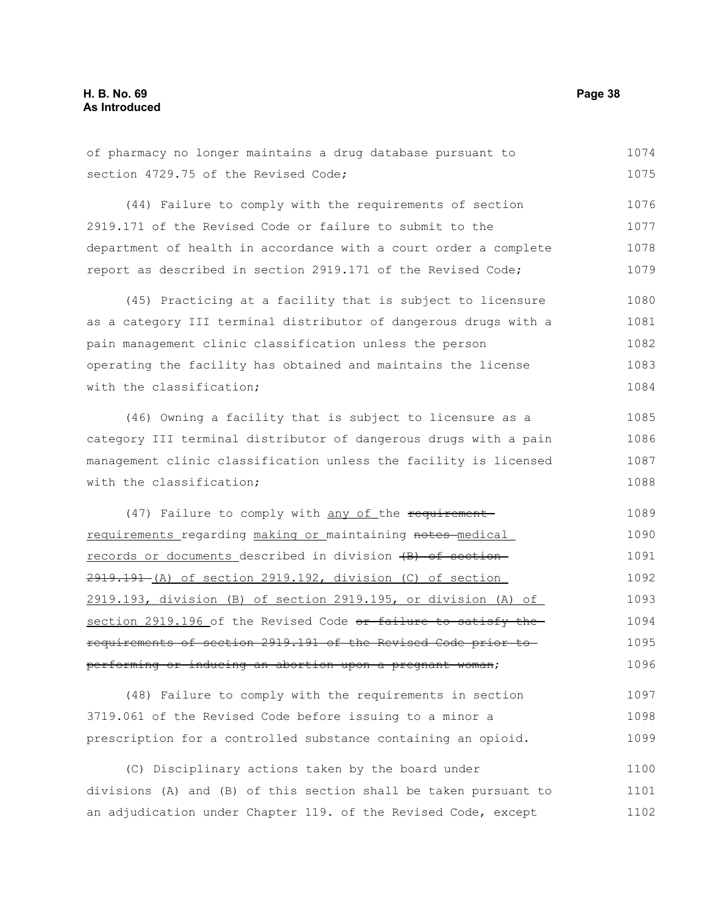| of pharmacy no longer maintains a drug database pursuant to      | 1074 |
|------------------------------------------------------------------|------|
| section 4729.75 of the Revised Code;                             | 1075 |
| (44) Failure to comply with the requirements of section          | 1076 |
| 2919.171 of the Revised Code or failure to submit to the         | 1077 |
| department of health in accordance with a court order a complete | 1078 |
| report as described in section 2919.171 of the Revised Code;     | 1079 |
| (45) Practicing at a facility that is subject to licensure       | 1080 |
| as a category III terminal distributor of dangerous drugs with a | 1081 |
| pain management clinic classification unless the person          | 1082 |
| operating the facility has obtained and maintains the license    | 1083 |
| with the classification;                                         | 1084 |
| (46) Owning a facility that is subject to licensure as a         | 1085 |
| category III terminal distributor of dangerous drugs with a pain | 1086 |
| management clinic classification unless the facility is licensed | 1087 |
| with the classification;                                         | 1088 |
| (47) Failure to comply with any of the requirement-              | 1089 |
| requirements regarding making or maintaining notes medical       | 1090 |
| records or documents described in division (B) of section        | 1091 |
| 2919.191 (A) of section 2919.192, division (C) of section        | 1092 |
| 2919.193, division (B) of section 2919.195, or division (A) of   | 1093 |
| section 2919.196 of the Revised Code or failure to satisfy the   | 1094 |
| requirements of section 2919.191 of the Revised Code prior to    | 1095 |
| performing or inducing an abortion upon a pregnant woman;        | 1096 |
| (48) Failure to comply with the requirements in section          | 1097 |
| 3719.061 of the Revised Code before issuing to a minor a         | 1098 |
| prescription for a controlled substance containing an opioid.    | 1099 |
| (C) Disciplinary actions taken by the board under                | 1100 |
| divisions (A) and (B) of this section shall be taken pursuant to | 1101 |

an adjudication under Chapter 119. of the Revised Code, except 1102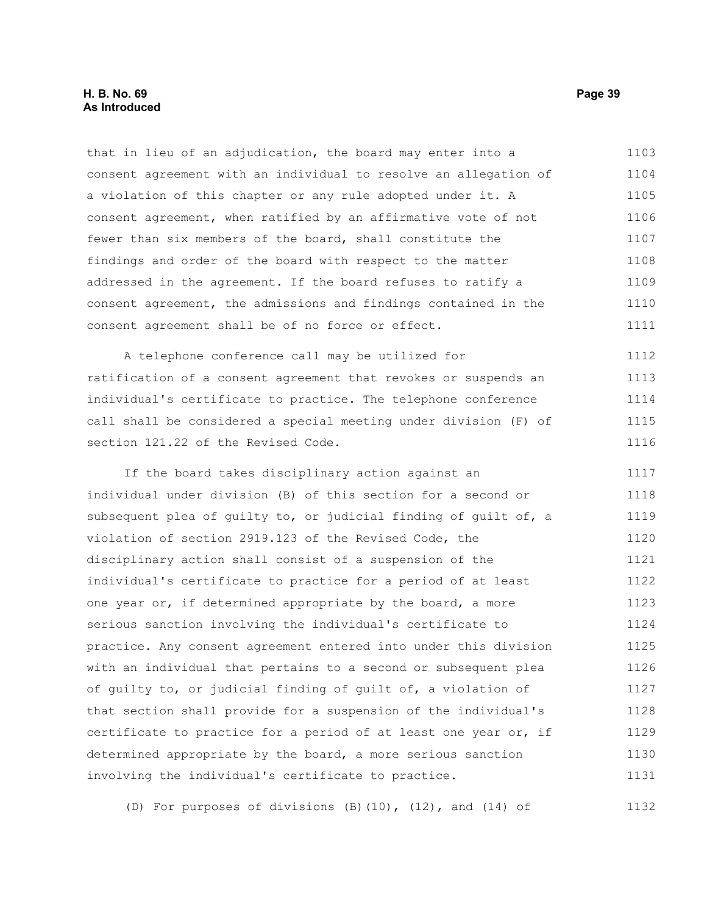that in lieu of an adjudication, the board may enter into a consent agreement with an individual to resolve an allegation of a violation of this chapter or any rule adopted under it. A consent agreement, when ratified by an affirmative vote of not fewer than six members of the board, shall constitute the findings and order of the board with respect to the matter addressed in the agreement. If the board refuses to ratify a consent agreement, the admissions and findings contained in the consent agreement shall be of no force or effect. 1103 1104 1105 1106 1107 1108 1109 1110 1111

A telephone conference call may be utilized for ratification of a consent agreement that revokes or suspends an individual's certificate to practice. The telephone conference call shall be considered a special meeting under division (F) of section 121.22 of the Revised Code. 1112 1113 1114 1115 1116

If the board takes disciplinary action against an individual under division (B) of this section for a second or subsequent plea of guilty to, or judicial finding of guilt of, a violation of section 2919.123 of the Revised Code, the disciplinary action shall consist of a suspension of the individual's certificate to practice for a period of at least one year or, if determined appropriate by the board, a more serious sanction involving the individual's certificate to practice. Any consent agreement entered into under this division with an individual that pertains to a second or subsequent plea of guilty to, or judicial finding of guilt of, a violation of that section shall provide for a suspension of the individual's certificate to practice for a period of at least one year or, if determined appropriate by the board, a more serious sanction involving the individual's certificate to practice. 1117 1118 1119 1120 1121 1122 1123 1124 1125 1126 1127 1128 1129 1130 1131

(D) For purposes of divisions (B)(10), (12), and (14) of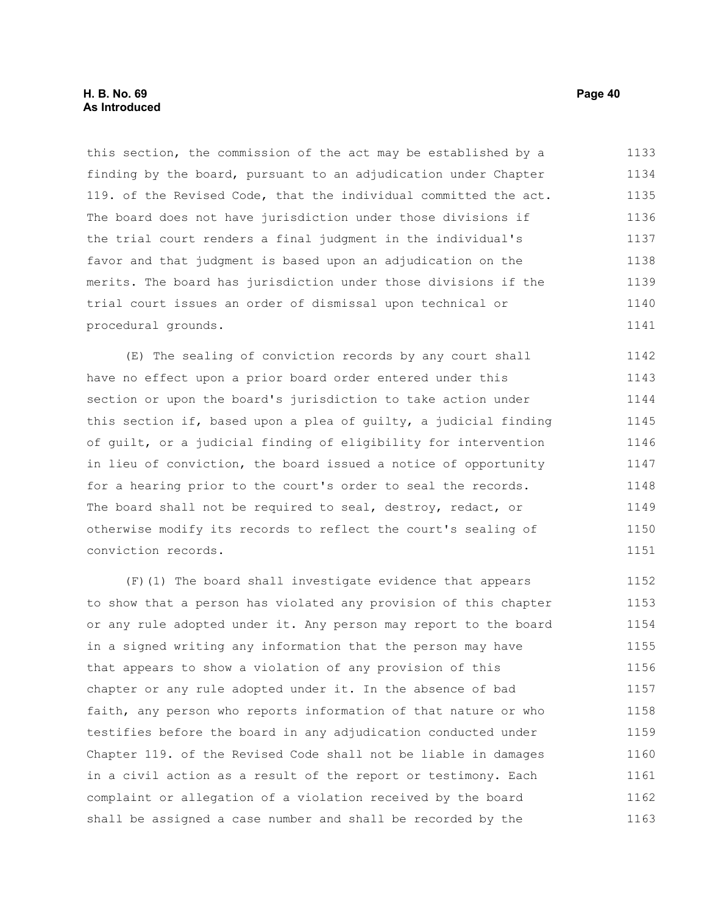this section, the commission of the act may be established by a finding by the board, pursuant to an adjudication under Chapter 119. of the Revised Code, that the individual committed the act. The board does not have jurisdiction under those divisions if the trial court renders a final judgment in the individual's favor and that judgment is based upon an adjudication on the merits. The board has jurisdiction under those divisions if the trial court issues an order of dismissal upon technical or procedural grounds. 1133 1134 1135 1136 1137 1138 1139 1140 1141

(E) The sealing of conviction records by any court shall have no effect upon a prior board order entered under this section or upon the board's jurisdiction to take action under this section if, based upon a plea of guilty, a judicial finding of guilt, or a judicial finding of eligibility for intervention in lieu of conviction, the board issued a notice of opportunity for a hearing prior to the court's order to seal the records. The board shall not be required to seal, destroy, redact, or otherwise modify its records to reflect the court's sealing of conviction records. 1142 1143 1144 1145 1146 1147 1148 1149 1150 1151

(F)(1) The board shall investigate evidence that appears to show that a person has violated any provision of this chapter or any rule adopted under it. Any person may report to the board in a signed writing any information that the person may have that appears to show a violation of any provision of this chapter or any rule adopted under it. In the absence of bad faith, any person who reports information of that nature or who testifies before the board in any adjudication conducted under Chapter 119. of the Revised Code shall not be liable in damages in a civil action as a result of the report or testimony. Each complaint or allegation of a violation received by the board shall be assigned a case number and shall be recorded by the 1152 1153 1154 1155 1156 1157 1158 1159 1160 1161 1162 1163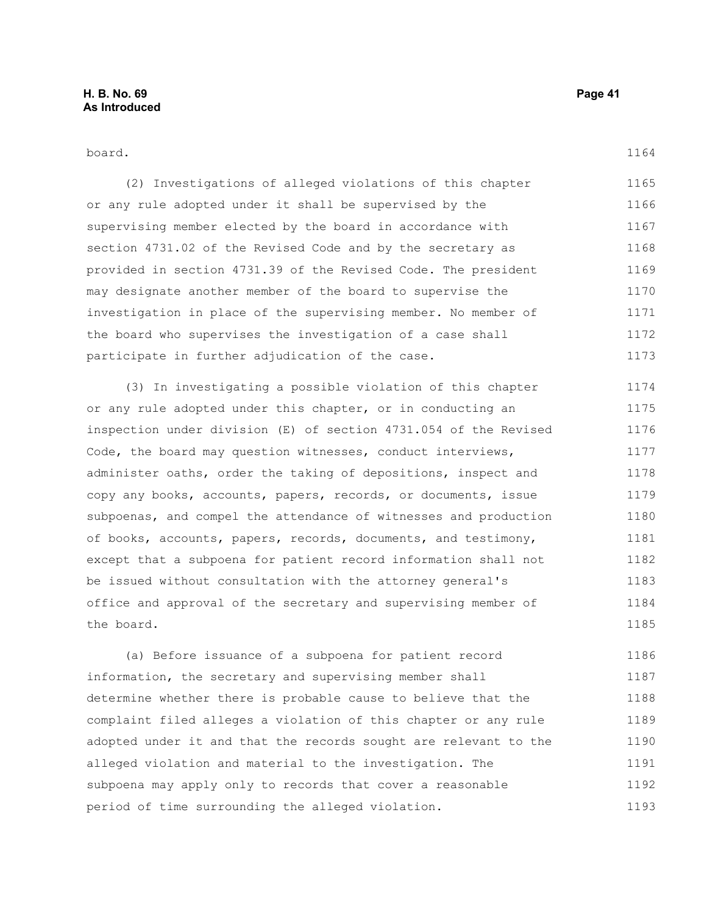#### board.

(2) Investigations of alleged violations of this chapter or any rule adopted under it shall be supervised by the supervising member elected by the board in accordance with section 4731.02 of the Revised Code and by the secretary as provided in section 4731.39 of the Revised Code. The president may designate another member of the board to supervise the investigation in place of the supervising member. No member of the board who supervises the investigation of a case shall participate in further adjudication of the case. 1165 1166 1167 1168 1169 1170 1171 1172 1173

(3) In investigating a possible violation of this chapter or any rule adopted under this chapter, or in conducting an inspection under division (E) of section 4731.054 of the Revised Code, the board may question witnesses, conduct interviews, administer oaths, order the taking of depositions, inspect and copy any books, accounts, papers, records, or documents, issue subpoenas, and compel the attendance of witnesses and production of books, accounts, papers, records, documents, and testimony, except that a subpoena for patient record information shall not be issued without consultation with the attorney general's office and approval of the secretary and supervising member of the board. 1174 1175 1176 1177 1178 1179 1180 1181 1182 1183 1184 1185

(a) Before issuance of a subpoena for patient record information, the secretary and supervising member shall determine whether there is probable cause to believe that the complaint filed alleges a violation of this chapter or any rule adopted under it and that the records sought are relevant to the alleged violation and material to the investigation. The subpoena may apply only to records that cover a reasonable period of time surrounding the alleged violation. 1186 1187 1188 1189 1190 1191 1192 1193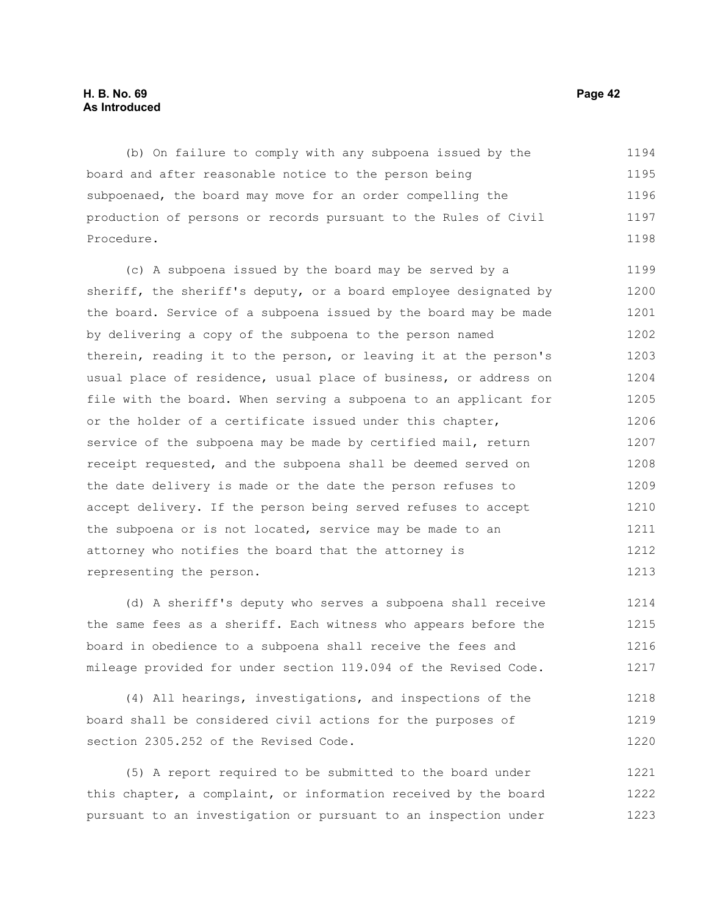#### **H. B. No. 69 Page 42 As Introduced**

(b) On failure to comply with any subpoena issued by the board and after reasonable notice to the person being subpoenaed, the board may move for an order compelling the production of persons or records pursuant to the Rules of Civil Procedure. 1194 1195 1196 1197 1198

(c) A subpoena issued by the board may be served by a sheriff, the sheriff's deputy, or a board employee designated by the board. Service of a subpoena issued by the board may be made by delivering a copy of the subpoena to the person named therein, reading it to the person, or leaving it at the person's usual place of residence, usual place of business, or address on file with the board. When serving a subpoena to an applicant for or the holder of a certificate issued under this chapter, service of the subpoena may be made by certified mail, return receipt requested, and the subpoena shall be deemed served on the date delivery is made or the date the person refuses to accept delivery. If the person being served refuses to accept the subpoena or is not located, service may be made to an attorney who notifies the board that the attorney is representing the person. 1199 1200 1201 1202 1203 1204 1205 1206 1207 1208 1209 1210 1211 1212 1213

(d) A sheriff's deputy who serves a subpoena shall receive the same fees as a sheriff. Each witness who appears before the board in obedience to a subpoena shall receive the fees and mileage provided for under section 119.094 of the Revised Code. 1214 1215 1216 1217

(4) All hearings, investigations, and inspections of the board shall be considered civil actions for the purposes of section 2305.252 of the Revised Code. 1218 1219 1220

(5) A report required to be submitted to the board under this chapter, a complaint, or information received by the board pursuant to an investigation or pursuant to an inspection under 1221 1222 1223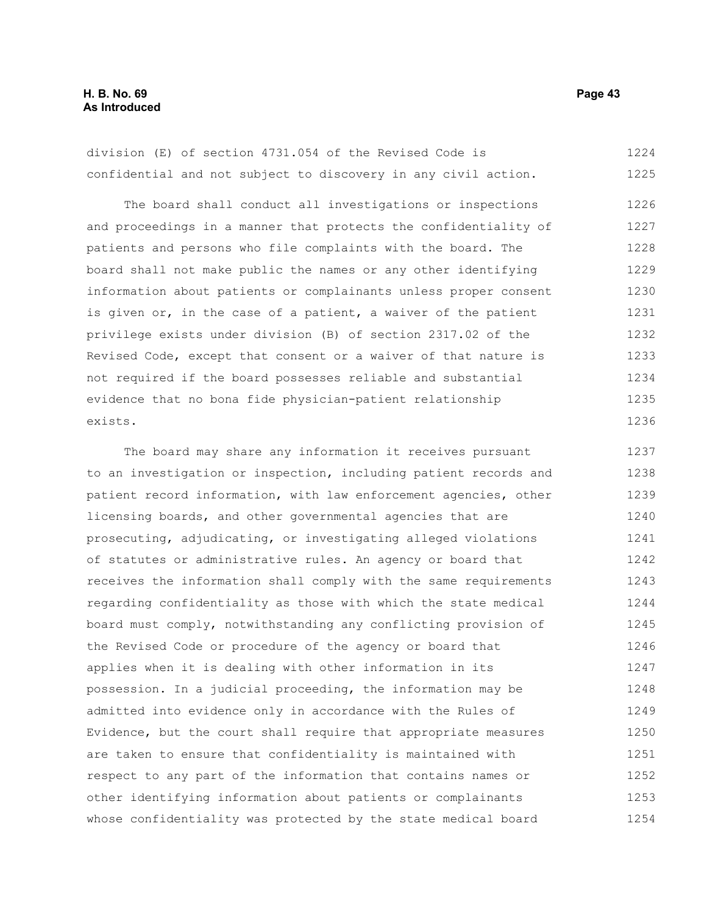division (E) of section 4731.054 of the Revised Code is confidential and not subject to discovery in any civil action. 1224 1225

The board shall conduct all investigations or inspections and proceedings in a manner that protects the confidentiality of patients and persons who file complaints with the board. The board shall not make public the names or any other identifying information about patients or complainants unless proper consent is given or, in the case of a patient, a waiver of the patient privilege exists under division (B) of section 2317.02 of the Revised Code, except that consent or a waiver of that nature is not required if the board possesses reliable and substantial evidence that no bona fide physician-patient relationship exists. 1226 1227 1228 1229 1230 1231 1232 1233 1234 1235 1236

The board may share any information it receives pursuant to an investigation or inspection, including patient records and patient record information, with law enforcement agencies, other licensing boards, and other governmental agencies that are prosecuting, adjudicating, or investigating alleged violations of statutes or administrative rules. An agency or board that receives the information shall comply with the same requirements regarding confidentiality as those with which the state medical board must comply, notwithstanding any conflicting provision of the Revised Code or procedure of the agency or board that applies when it is dealing with other information in its possession. In a judicial proceeding, the information may be admitted into evidence only in accordance with the Rules of Evidence, but the court shall require that appropriate measures are taken to ensure that confidentiality is maintained with respect to any part of the information that contains names or other identifying information about patients or complainants whose confidentiality was protected by the state medical board 1237 1238 1239 1240 1241 1242 1243 1244 1245 1246 1247 1248 1249 1250 1251 1252 1253 1254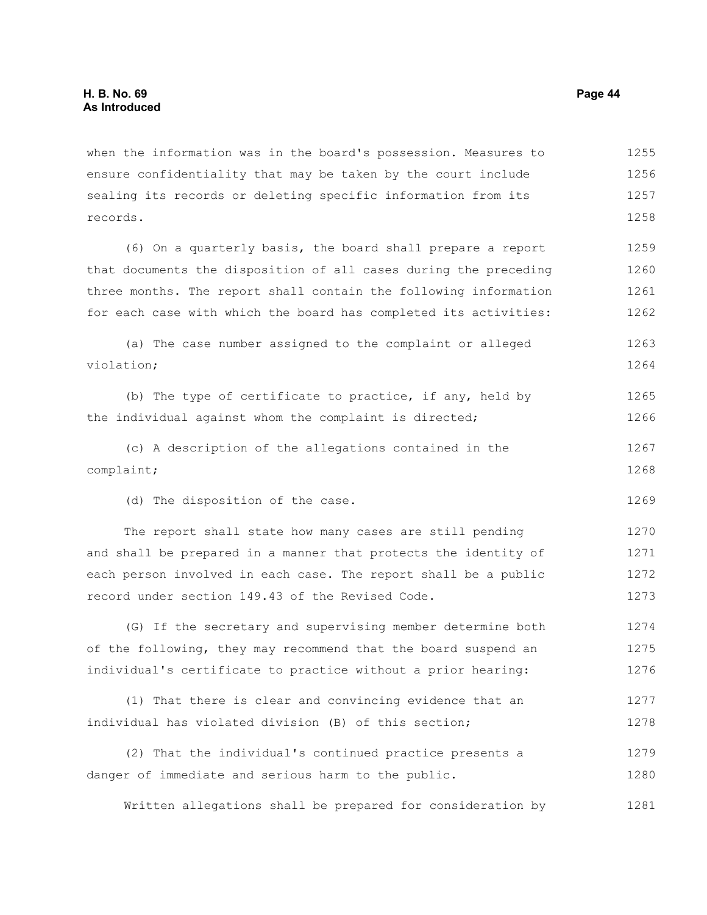when the information was in the board's possession. Measures to ensure confidentiality that may be taken by the court include sealing its records or deleting specific information from its records. 1255 1256 1257 1258

(6) On a quarterly basis, the board shall prepare a report that documents the disposition of all cases during the preceding three months. The report shall contain the following information for each case with which the board has completed its activities: 1259 1260 1261 1262

```
(a) The case number assigned to the complaint or alleged
violation;
                                                                            1263
                                                                            1264
```
(b) The type of certificate to practice, if any, held by the individual against whom the complaint is directed; 1265 1266

(c) A description of the allegations contained in the complaint; 1267 1268

(d) The disposition of the case.

The report shall state how many cases are still pending and shall be prepared in a manner that protects the identity of each person involved in each case. The report shall be a public record under section 149.43 of the Revised Code. 1270 1271 1272 1273

(G) If the secretary and supervising member determine both of the following, they may recommend that the board suspend an individual's certificate to practice without a prior hearing: 1274 1275 1276

(1) That there is clear and convincing evidence that an individual has violated division (B) of this section; 1277 1278

(2) That the individual's continued practice presents a danger of immediate and serious harm to the public. 1279 1280

Written allegations shall be prepared for consideration by 1281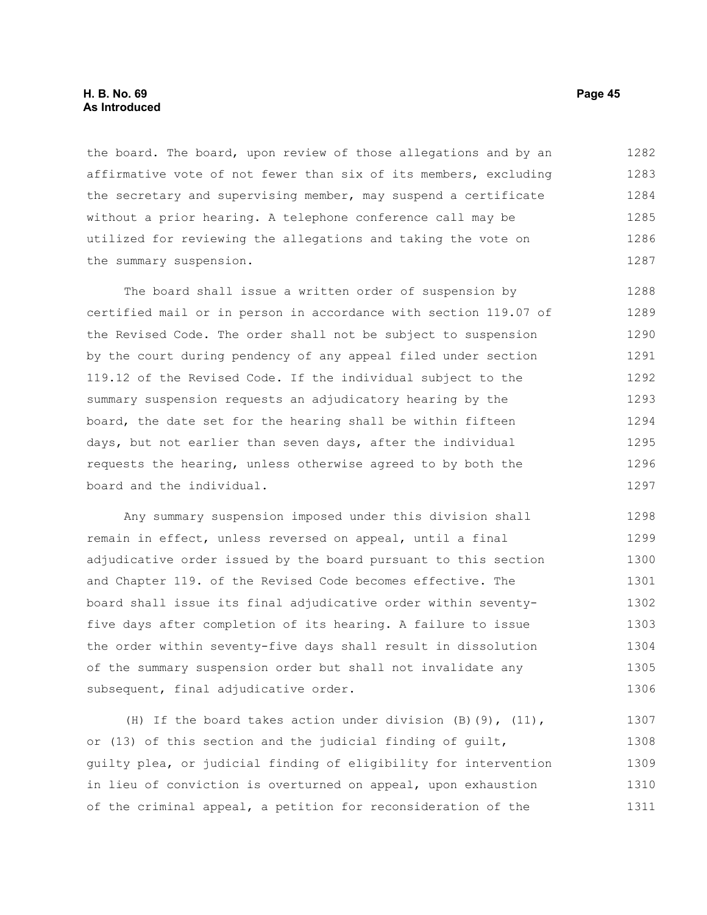#### **H. B. No. 69 Page 45 As Introduced**

the board. The board, upon review of those allegations and by an affirmative vote of not fewer than six of its members, excluding the secretary and supervising member, may suspend a certificate without a prior hearing. A telephone conference call may be utilized for reviewing the allegations and taking the vote on the summary suspension. 1282 1283 1284 1285 1286 1287

The board shall issue a written order of suspension by certified mail or in person in accordance with section 119.07 of the Revised Code. The order shall not be subject to suspension by the court during pendency of any appeal filed under section 119.12 of the Revised Code. If the individual subject to the summary suspension requests an adjudicatory hearing by the board, the date set for the hearing shall be within fifteen days, but not earlier than seven days, after the individual requests the hearing, unless otherwise agreed to by both the board and the individual. 1288 1289 1290 1291 1292 1293 1294 1295 1296 1297

Any summary suspension imposed under this division shall remain in effect, unless reversed on appeal, until a final adjudicative order issued by the board pursuant to this section and Chapter 119. of the Revised Code becomes effective. The board shall issue its final adjudicative order within seventyfive days after completion of its hearing. A failure to issue the order within seventy-five days shall result in dissolution of the summary suspension order but shall not invalidate any subsequent, final adjudicative order. 1298 1299 1300 1301 1302 1303 1304 1305 1306

(H) If the board takes action under division  $(B)$  (9), (11), or (13) of this section and the judicial finding of guilt, guilty plea, or judicial finding of eligibility for intervention in lieu of conviction is overturned on appeal, upon exhaustion of the criminal appeal, a petition for reconsideration of the 1307 1308 1309 1310 1311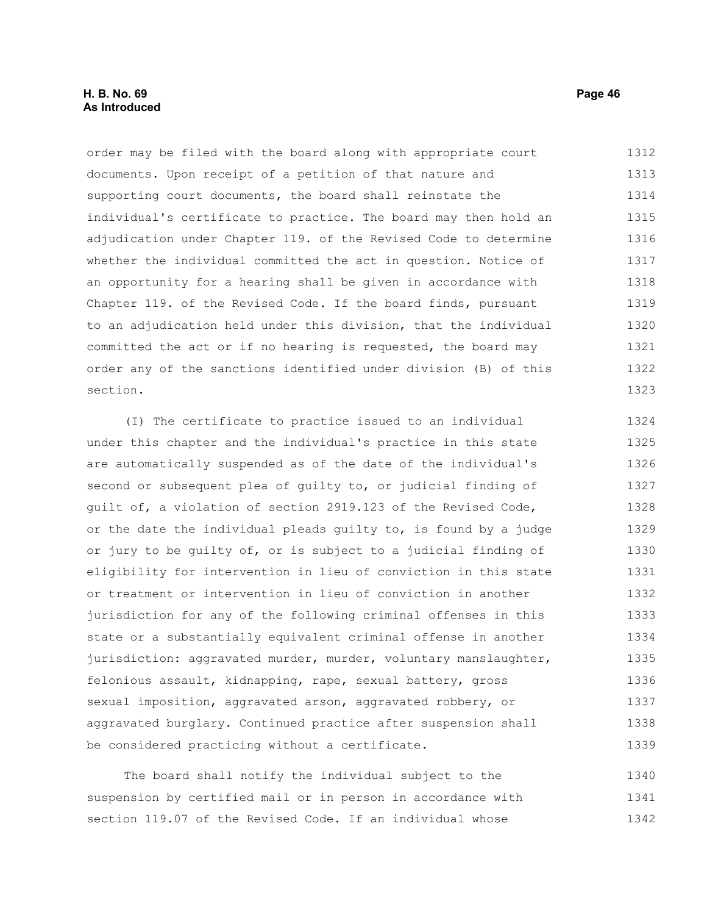#### **H. B. No. 69 Page 46 As Introduced**

order may be filed with the board along with appropriate court documents. Upon receipt of a petition of that nature and supporting court documents, the board shall reinstate the individual's certificate to practice. The board may then hold an adjudication under Chapter 119. of the Revised Code to determine whether the individual committed the act in question. Notice of an opportunity for a hearing shall be given in accordance with Chapter 119. of the Revised Code. If the board finds, pursuant to an adjudication held under this division, that the individual committed the act or if no hearing is requested, the board may order any of the sanctions identified under division (B) of this section. 1312 1313 1314 1315 1316 1317 1318 1319 1320 1321 1322 1323

(I) The certificate to practice issued to an individual under this chapter and the individual's practice in this state are automatically suspended as of the date of the individual's second or subsequent plea of guilty to, or judicial finding of guilt of, a violation of section 2919.123 of the Revised Code, or the date the individual pleads guilty to, is found by a judge or jury to be guilty of, or is subject to a judicial finding of eligibility for intervention in lieu of conviction in this state or treatment or intervention in lieu of conviction in another jurisdiction for any of the following criminal offenses in this state or a substantially equivalent criminal offense in another jurisdiction: aggravated murder, murder, voluntary manslaughter, felonious assault, kidnapping, rape, sexual battery, gross sexual imposition, aggravated arson, aggravated robbery, or aggravated burglary. Continued practice after suspension shall be considered practicing without a certificate. 1324 1325 1326 1327 1328 1329 1330 1331 1332 1333 1334 1335 1336 1337 1338 1339

The board shall notify the individual subject to the suspension by certified mail or in person in accordance with section 119.07 of the Revised Code. If an individual whose 1340 1341 1342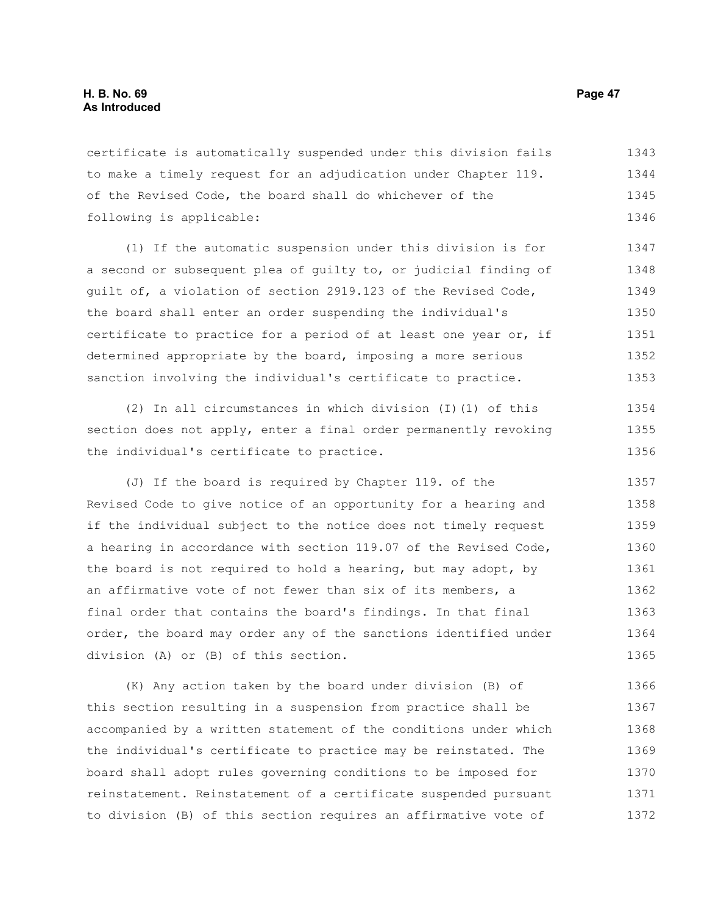certificate is automatically suspended under this division fails to make a timely request for an adjudication under Chapter 119. of the Revised Code, the board shall do whichever of the following is applicable: 1343 1344 1345 1346

(1) If the automatic suspension under this division is for a second or subsequent plea of guilty to, or judicial finding of guilt of, a violation of section 2919.123 of the Revised Code, the board shall enter an order suspending the individual's certificate to practice for a period of at least one year or, if determined appropriate by the board, imposing a more serious sanction involving the individual's certificate to practice. 1347 1348 1349 1350 1351 1352 1353

(2) In all circumstances in which division (I)(1) of this section does not apply, enter a final order permanently revoking the individual's certificate to practice. 1354 1355 1356

(J) If the board is required by Chapter 119. of the Revised Code to give notice of an opportunity for a hearing and if the individual subject to the notice does not timely request a hearing in accordance with section 119.07 of the Revised Code, the board is not required to hold a hearing, but may adopt, by an affirmative vote of not fewer than six of its members, a final order that contains the board's findings. In that final order, the board may order any of the sanctions identified under division (A) or (B) of this section. 1357 1358 1359 1360 1361 1362 1363 1364 1365

(K) Any action taken by the board under division (B) of this section resulting in a suspension from practice shall be accompanied by a written statement of the conditions under which the individual's certificate to practice may be reinstated. The board shall adopt rules governing conditions to be imposed for reinstatement. Reinstatement of a certificate suspended pursuant to division (B) of this section requires an affirmative vote of 1366 1367 1368 1369 1370 1371 1372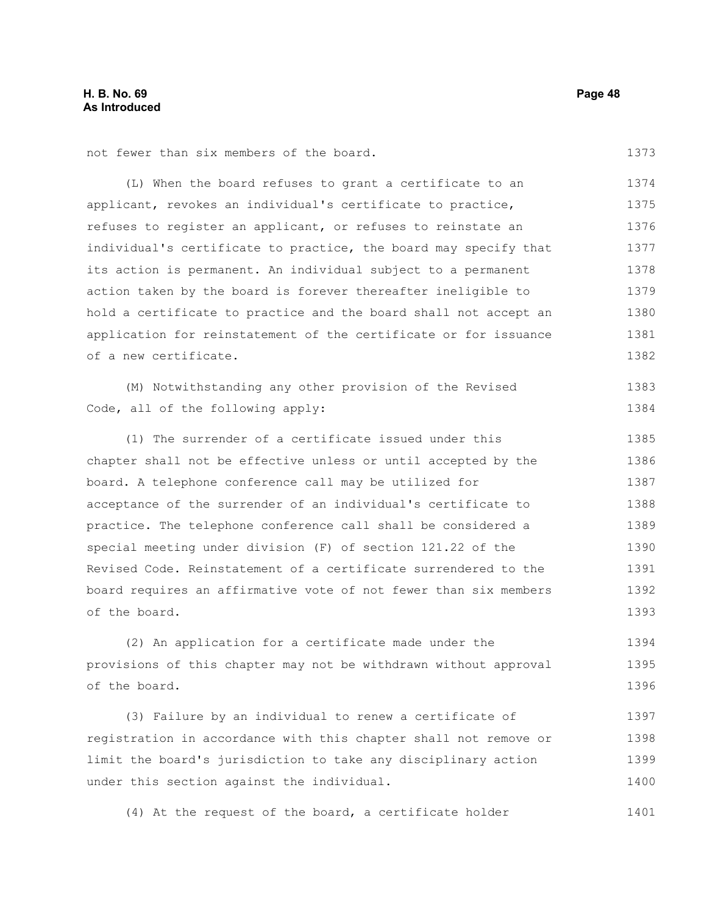1373

not fewer than six members of the board.

(L) When the board refuses to grant a certificate to an applicant, revokes an individual's certificate to practice, refuses to register an applicant, or refuses to reinstate an individual's certificate to practice, the board may specify that its action is permanent. An individual subject to a permanent action taken by the board is forever thereafter ineligible to hold a certificate to practice and the board shall not accept an application for reinstatement of the certificate or for issuance of a new certificate. 1374 1375 1376 1377 1378 1379 1380 1381 1382

(M) Notwithstanding any other provision of the Revised Code, all of the following apply: 1383 1384

(1) The surrender of a certificate issued under this chapter shall not be effective unless or until accepted by the board. A telephone conference call may be utilized for acceptance of the surrender of an individual's certificate to practice. The telephone conference call shall be considered a special meeting under division (F) of section 121.22 of the Revised Code. Reinstatement of a certificate surrendered to the board requires an affirmative vote of not fewer than six members of the board. 1385 1386 1387 1388 1389 1390 1391 1392 1393

(2) An application for a certificate made under the provisions of this chapter may not be withdrawn without approval of the board. 1394 1395 1396

(3) Failure by an individual to renew a certificate of registration in accordance with this chapter shall not remove or limit the board's jurisdiction to take any disciplinary action under this section against the individual. 1397 1398 1399 1400

(4) At the request of the board, a certificate holder 1401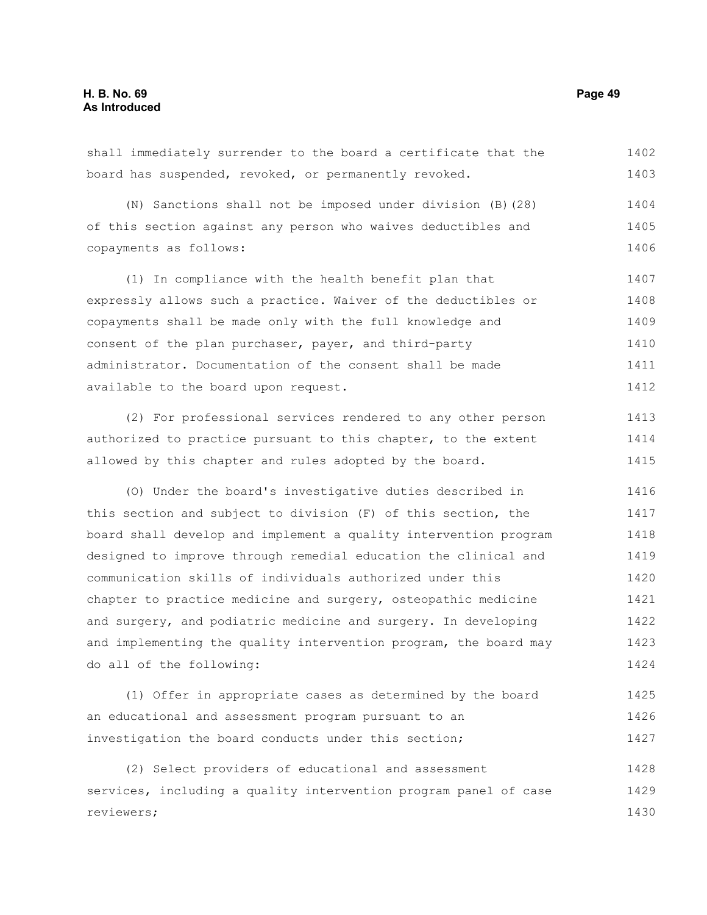shall immediately surrender to the board a certificate that the board has suspended, revoked, or permanently revoked. 1402 1403

(N) Sanctions shall not be imposed under division (B)(28) of this section against any person who waives deductibles and copayments as follows: 1404 1405 1406

(1) In compliance with the health benefit plan that expressly allows such a practice. Waiver of the deductibles or copayments shall be made only with the full knowledge and consent of the plan purchaser, payer, and third-party administrator. Documentation of the consent shall be made available to the board upon request. 1407 1408 1409 1410 1411 1412

(2) For professional services rendered to any other person authorized to practice pursuant to this chapter, to the extent allowed by this chapter and rules adopted by the board.

(O) Under the board's investigative duties described in this section and subject to division (F) of this section, the board shall develop and implement a quality intervention program designed to improve through remedial education the clinical and communication skills of individuals authorized under this chapter to practice medicine and surgery, osteopathic medicine and surgery, and podiatric medicine and surgery. In developing and implementing the quality intervention program, the board may do all of the following: 1416 1417 1418 1419 1420 1421 1422 1423 1424

(1) Offer in appropriate cases as determined by the board an educational and assessment program pursuant to an investigation the board conducts under this section; 1425 1426 1427

(2) Select providers of educational and assessment services, including a quality intervention program panel of case reviewers; 1428 1429 1430